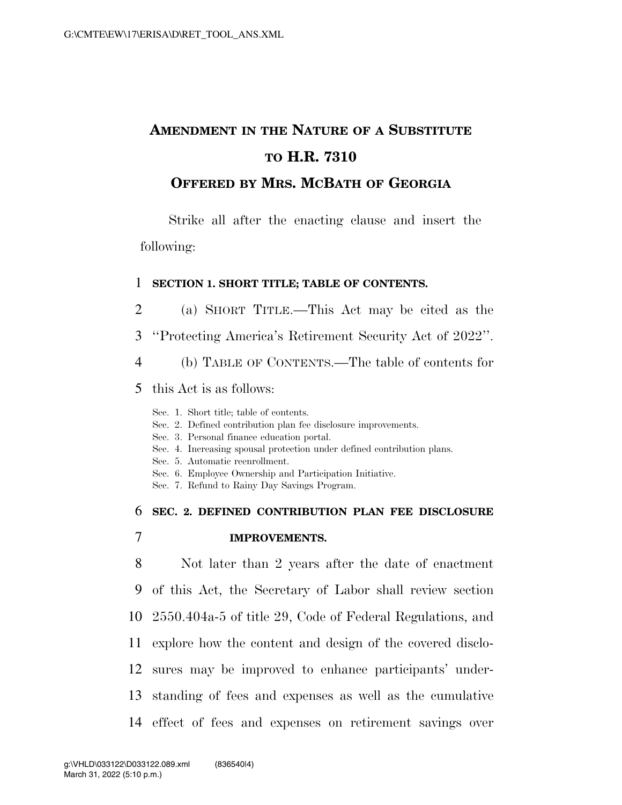# **AMENDMENT IN THE NATURE OF A SUBSTITUTE TO H.R. 7310**

# **OFFERED BY MRS. MCBATH OF GEORGIA**

Strike all after the enacting clause and insert the following:

### 1 **SECTION 1. SHORT TITLE; TABLE OF CONTENTS.**

- 2 (a) SHORT TITLE.—This Act may be cited as the
- 3 ''Protecting America's Retirement Security Act of 2022''.
- 4 (b) TABLE OF CONTENTS.—The table of contents for
- 5 this Act is as follows:
	- Sec. 1. Short title; table of contents.
	- Sec. 2. Defined contribution plan fee disclosure improvements.
	- Sec. 3. Personal finance education portal.
	- Sec. 4. Increasing spousal protection under defined contribution plans.
	- Sec. 5. Automatic reenrollment.
	- Sec. 6. Employee Ownership and Participation Initiative.
	- Sec. 7. Refund to Rainy Day Savings Program.

# 6 **SEC. 2. DEFINED CONTRIBUTION PLAN FEE DISCLOSURE**

## 7 **IMPROVEMENTS.**

 Not later than 2 years after the date of enactment of this Act, the Secretary of Labor shall review section 2550.404a-5 of title 29, Code of Federal Regulations, and explore how the content and design of the covered disclo- sures may be improved to enhance participants' under- standing of fees and expenses as well as the cumulative effect of fees and expenses on retirement savings over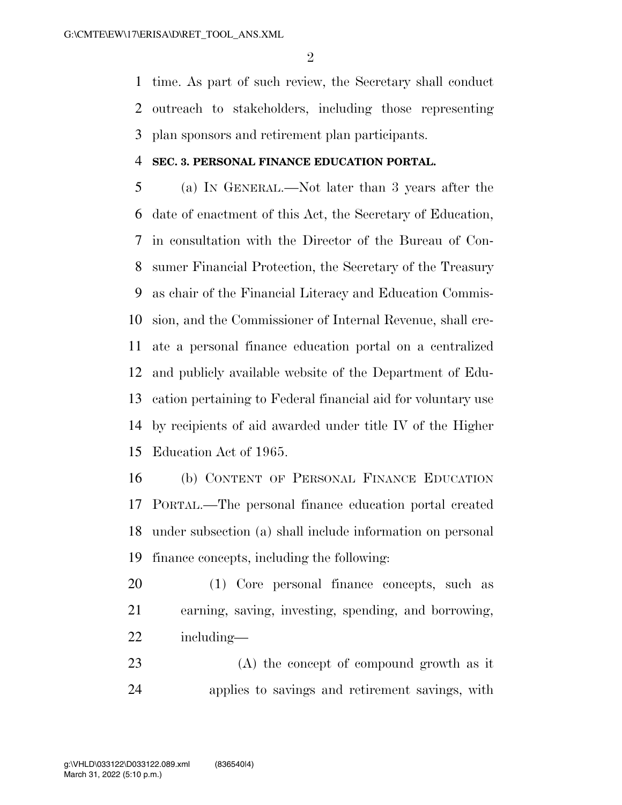time. As part of such review, the Secretary shall conduct outreach to stakeholders, including those representing plan sponsors and retirement plan participants.

#### **SEC. 3. PERSONAL FINANCE EDUCATION PORTAL.**

 (a) IN GENERAL.—Not later than 3 years after the date of enactment of this Act, the Secretary of Education, in consultation with the Director of the Bureau of Con- sumer Financial Protection, the Secretary of the Treasury as chair of the Financial Literacy and Education Commis- sion, and the Commissioner of Internal Revenue, shall cre- ate a personal finance education portal on a centralized and publicly available website of the Department of Edu- cation pertaining to Federal financial aid for voluntary use by recipients of aid awarded under title IV of the Higher Education Act of 1965.

 (b) CONTENT OF PERSONAL FINANCE EDUCATION PORTAL.—The personal finance education portal created under subsection (a) shall include information on personal finance concepts, including the following:

 (1) Core personal finance concepts, such as earning, saving, investing, spending, and borrowing, including—

 (A) the concept of compound growth as it applies to savings and retirement savings, with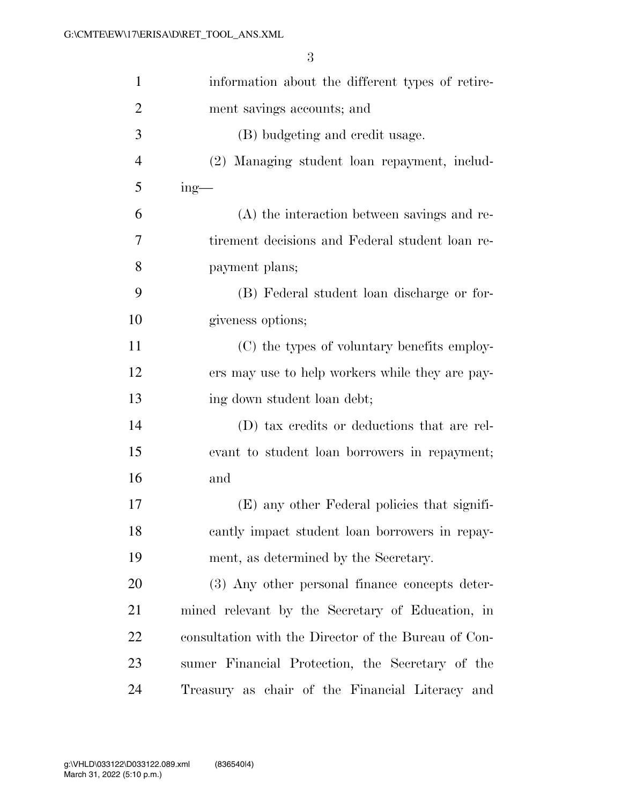| $\mathbf{1}$   | information about the different types of retire-     |
|----------------|------------------------------------------------------|
| $\overline{2}$ | ment savings accounts; and                           |
| 3              | (B) budgeting and credit usage.                      |
| $\overline{4}$ | (2) Managing student loan repayment, includ-         |
| 5              | $ing$ —                                              |
| 6              | (A) the interaction between savings and re-          |
| 7              | tirement decisions and Federal student loan re-      |
| 8              | payment plans;                                       |
| 9              | (B) Federal student loan discharge or for-           |
| 10             | giveness options;                                    |
| 11             | (C) the types of voluntary benefits employ-          |
| 12             | ers may use to help workers while they are pay-      |
| 13             | ing down student loan debt;                          |
| 14             | (D) tax credits or deductions that are rel-          |
| 15             | evant to student loan borrowers in repayment;        |
| 16             | and                                                  |
| 17             | (E) any other Federal policies that signifi-         |
| 18             | cantly impact student loan borrowers in repay-       |
| 19             | ment, as determined by the Secretary.                |
| 20             | (3) Any other personal finance concepts deter-       |
| 21             | mined relevant by the Secretary of Education, in     |
| 22             | consultation with the Director of the Bureau of Con- |
| 23             | sumer Financial Protection, the Secretary of the     |
| 24             | Treasury as chair of the Financial Literacy and      |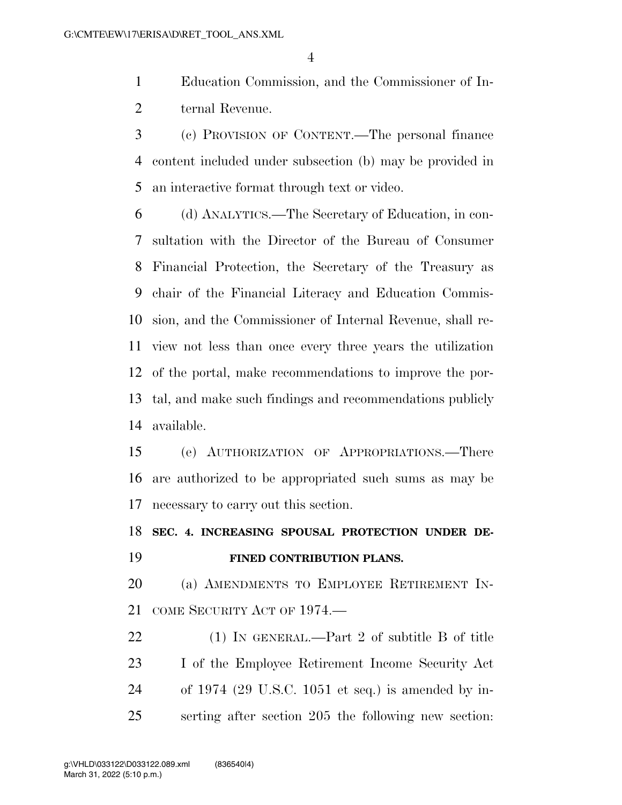Education Commission, and the Commissioner of In-ternal Revenue.

 (c) PROVISION OF CONTENT.—The personal finance content included under subsection (b) may be provided in an interactive format through text or video.

 (d) ANALYTICS.—The Secretary of Education, in con- sultation with the Director of the Bureau of Consumer Financial Protection, the Secretary of the Treasury as chair of the Financial Literacy and Education Commis- sion, and the Commissioner of Internal Revenue, shall re- view not less than once every three years the utilization of the portal, make recommendations to improve the por- tal, and make such findings and recommendations publicly available.

 (e) AUTHORIZATION OF APPROPRIATIONS.—There are authorized to be appropriated such sums as may be necessary to carry out this section.

 **SEC. 4. INCREASING SPOUSAL PROTECTION UNDER DE-FINED CONTRIBUTION PLANS.** 

 (a) AMENDMENTS TO EMPLOYEE RETIREMENT IN-COME SECURITY ACT OF 1974.—

22 (1) IN GENERAL.—Part 2 of subtitle B of title I of the Employee Retirement Income Security Act of 1974 (29 U.S.C. 1051 et seq.) is amended by in-serting after section 205 the following new section: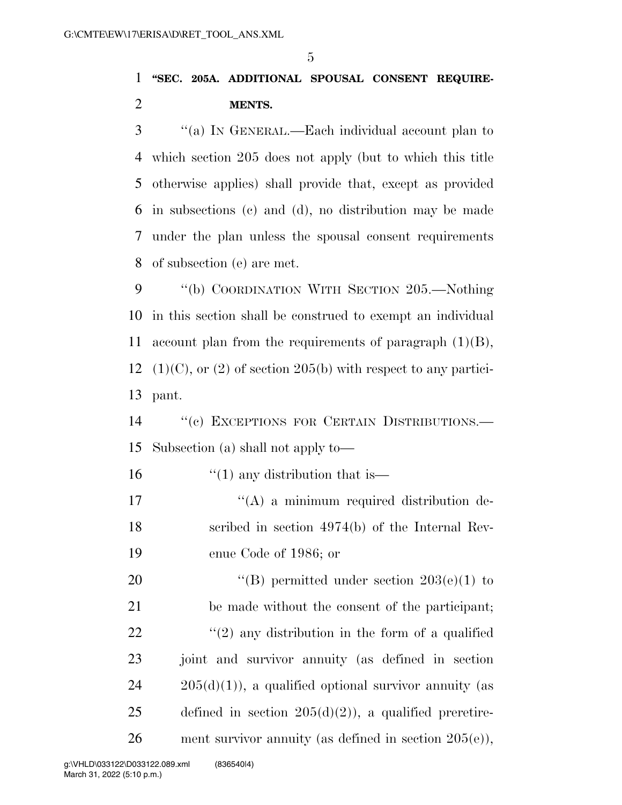# 1 **''SEC. 205A. ADDITIONAL SPOUSAL CONSENT REQUIRE-**2 **MENTS.**

 ''(a) IN GENERAL.—Each individual account plan to which section 205 does not apply (but to which this title otherwise applies) shall provide that, except as provided in subsections (c) and (d), no distribution may be made under the plan unless the spousal consent requirements of subsection (e) are met.

9 ''(b) COORDINATION WITH SECTION 205.—Nothing 10 in this section shall be construed to exempt an individual 11 account plan from the requirements of paragraph  $(1)(B)$ , 12 (1)(C), or (2) of section 205(b) with respect to any partici-13 pant.

14 "(c) EXCEPTIONS FOR CERTAIN DISTRIBUTIONS.— 15 Subsection (a) shall not apply to—

16  $\frac{1}{10}$  any distribution that is —

17  $((A)$  a minimum required distribution de-18 scribed in section 4974(b) of the Internal Rev-19 enue Code of 1986; or

20  $\text{``(B) permitted under section } 203(e)(1)$  to 21 be made without the consent of the participant; 22  $\langle \langle 2 \rangle$  any distribution in the form of a qualified 23 joint and survivor annuity (as defined in section  $24 \qquad 205(d)(1)$ , a qualified optional survivor annuity (as 25 defined in section  $205(d)(2)$ , a qualified preretire-26 ment survivor annuity (as defined in section  $205(e)$ ),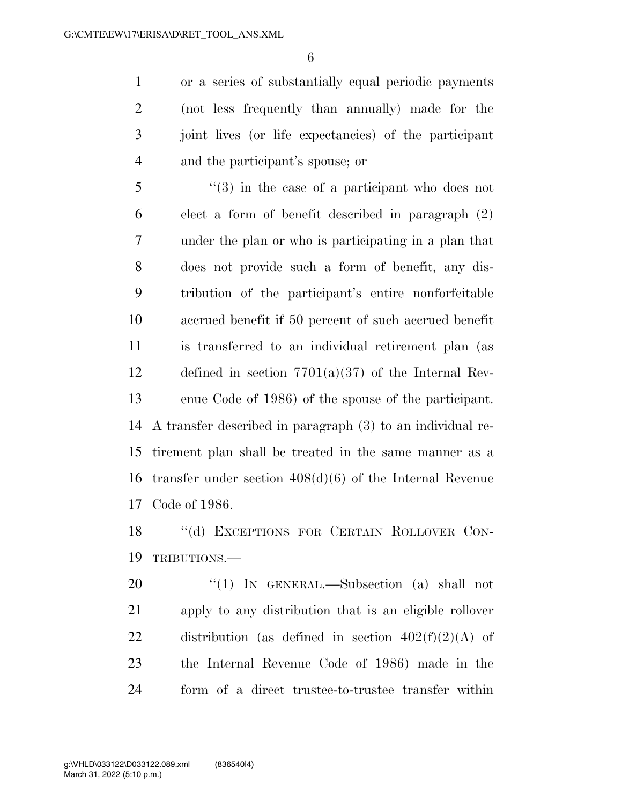or a series of substantially equal periodic payments (not less frequently than annually) made for the joint lives (or life expectancies) of the participant and the participant's spouse; or

 ''(3) in the case of a participant who does not elect a form of benefit described in paragraph (2) under the plan or who is participating in a plan that does not provide such a form of benefit, any dis- tribution of the participant's entire nonforfeitable accrued benefit if 50 percent of such accrued benefit is transferred to an individual retirement plan (as defined in section 7701(a)(37) of the Internal Rev- enue Code of 1986) of the spouse of the participant. A transfer described in paragraph (3) to an individual re- tirement plan shall be treated in the same manner as a transfer under section 408(d)(6) of the Internal Revenue Code of 1986.

 ''(d) EXCEPTIONS FOR CERTAIN ROLLOVER CON-TRIBUTIONS.—

20 "(1) IN GENERAL.—Subsection (a) shall not apply to any distribution that is an eligible rollover 22 distribution (as defined in section  $402(f)(2)(A)$  of the Internal Revenue Code of 1986) made in the form of a direct trustee-to-trustee transfer within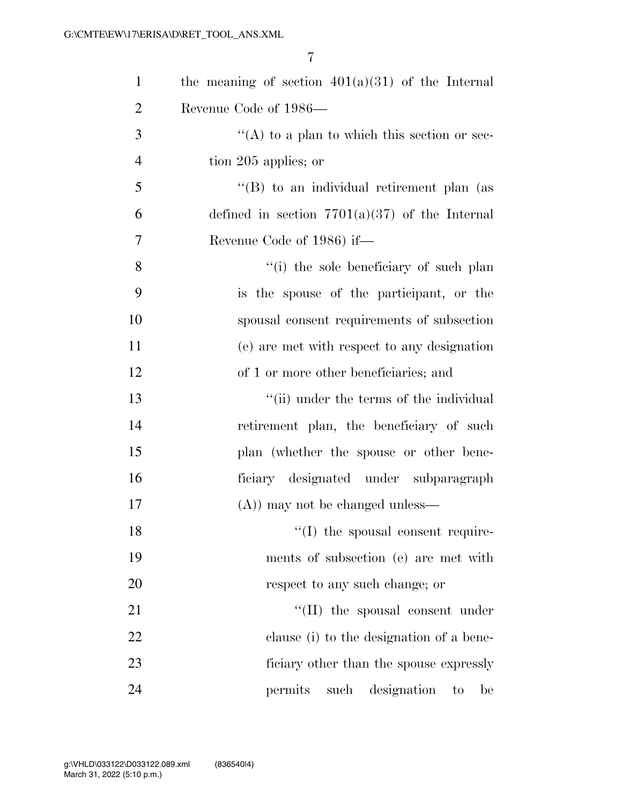| $\mathbf{1}$   | the meaning of section $401(a)(31)$ of the Internal |
|----------------|-----------------------------------------------------|
| $\overline{2}$ | Revenue Code of 1986—                               |
| 3              | "(A) to a plan to which this section or sec-        |
| $\overline{4}$ | tion 205 applies; or                                |
| 5              | $\lq\lq (B)$ to an individual retirement plan (as   |
| 6              | defined in section $7701(a)(37)$ of the Internal    |
| $\overline{7}$ | Revenue Code of 1986) if—                           |
| 8              | "(i) the sole beneficiary of such plan              |
| 9              | is the spouse of the participant, or the            |
| 10             | spousal consent requirements of subsection          |
| 11             | (e) are met with respect to any designation         |
| 12             | of 1 or more other beneficiaries; and               |
| 13             | "(ii) under the terms of the individual             |
| 14             | retirement plan, the beneficiary of such            |
| 15             | plan (whether the spouse or other bene-             |
| 16             | ficiary designated under subparagraph               |
| 17             | $(A)$ ) may not be changed unless—                  |
| 18             | $\lq\lq$ (I) the spousal consent require-           |
| 19             | ments of subsection (e) are met with                |
| 20             | respect to any such change; or                      |
| 21             | $\lq\lq$ (II) the spousal consent under             |
| 22             | clause (i) to the designation of a bene-            |
| 23             | ficiary other than the spouse expressly             |
| 24             | permits<br>such designation<br>be<br>to             |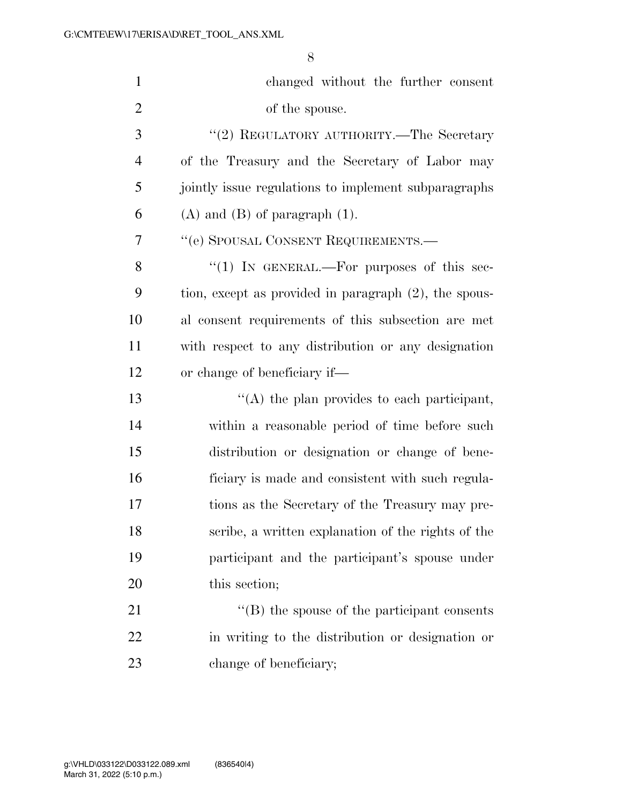| $\mathbf{1}$   | changed without the further consent                      |
|----------------|----------------------------------------------------------|
| $\overline{2}$ | of the spouse.                                           |
| 3              | "(2) REGULATORY AUTHORITY.—The Secretary                 |
| $\overline{4}$ | of the Treasury and the Secretary of Labor may           |
| 5              | jointly issue regulations to implement subparagraphs     |
| 6              | $(A)$ and $(B)$ of paragraph $(1)$ .                     |
| 7              | "(e) SPOUSAL CONSENT REQUIREMENTS.—                      |
| 8              | "(1) IN GENERAL.—For purposes of this sec-               |
| 9              | tion, except as provided in paragraph $(2)$ , the spous- |
| 10             | al consent requirements of this subsection are met       |
| 11             | with respect to any distribution or any designation      |
| 12             | or change of beneficiary if—                             |
| 13             | $\lq\lq$ the plan provides to each participant,          |
| 14             | within a reasonable period of time before such           |
| 15             | distribution or designation or change of bene-           |
| 16             | ficiary is made and consistent with such regula-         |
| 17             | tions as the Secretary of the Treasury may pre-          |
| 18             | scribe, a written explanation of the rights of the       |
| 19             | participant and the participant's spouse under           |
| 20             | this section;                                            |
| 21             | $\lq\lq$ (B) the spouse of the participant consents      |
| 22             | in writing to the distribution or designation or         |
| 23             | change of beneficiary;                                   |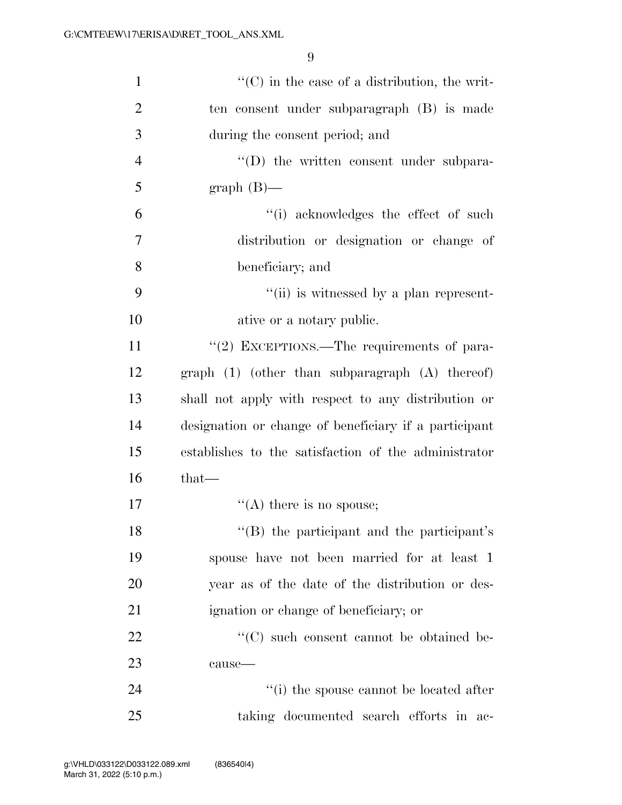| $\mathbf{1}$   | $\lq\lq$ (C) in the case of a distribution, the writ- |
|----------------|-------------------------------------------------------|
| $\overline{2}$ | ten consent under subparagraph (B) is made            |
| 3              | during the consent period; and                        |
| $\overline{4}$ | $\lq\lq$ the written consent under subpara-           |
| 5              | $graph(B)$ —                                          |
| 6              | "(i) acknowledges the effect of such                  |
| $\overline{7}$ | distribution or designation or change of              |
| 8              | beneficiary; and                                      |
| 9              | "(ii) is witnessed by a plan represent-               |
| 10             | ative or a notary public.                             |
| 11             | "(2) EXCEPTIONS.—The requirements of para-            |
| 12             | $graph (1)$ (other than subparagraph $(A)$ thereof)   |
| 13             | shall not apply with respect to any distribution or   |
| 14             | designation or change of beneficiary if a participant |
| 15             | establishes to the satisfaction of the administrator  |
| 16             | $that-$                                               |
| 17             | $\lq\lq$ there is no spouse;                          |
| 18             | "(B) the participant and the participant's            |
| 19             | spouse have not been married for at least 1           |
| 20             | year as of the date of the distribution or des-       |
| 21             | ignation or change of beneficiary; or                 |
| 22             | "(C) such consent cannot be obtained be-              |
| 23             | cause-                                                |
| 24             | $\lq\lq(i)$ the spouse cannot be located after        |
| 25             | taking documented search efforts in ac-               |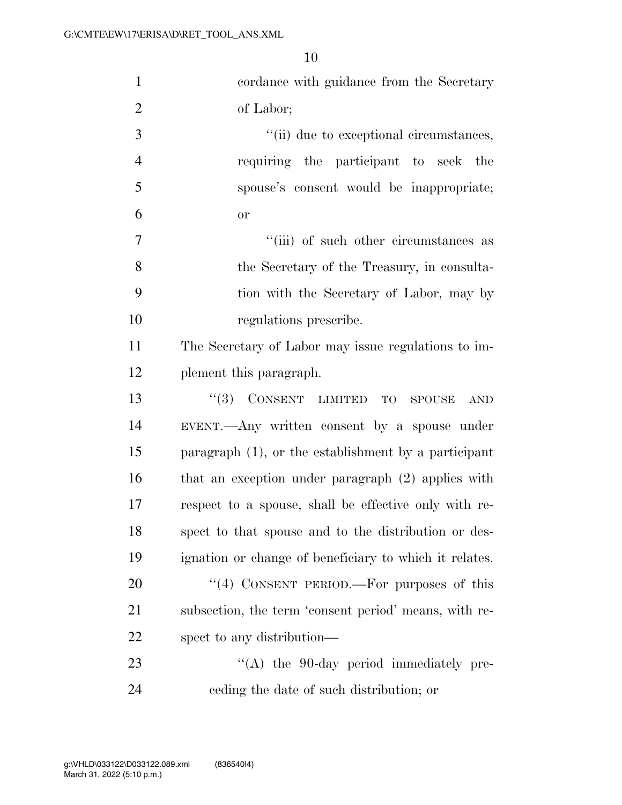| $\mathbf{1}$   | cordance with guidance from the Secretary                 |
|----------------|-----------------------------------------------------------|
| $\overline{2}$ | of Labor;                                                 |
| 3              | "(ii) due to exceptional circumstances,                   |
| $\overline{4}$ | requiring the participant to seek the                     |
| 5              | spouse's consent would be inappropriate;                  |
| 6              | or                                                        |
| 7              | "(iii) of such other circumstances as                     |
| 8              | the Secretary of the Treasury, in consulta-               |
| 9              | tion with the Secretary of Labor, may by                  |
| 10             | regulations prescribe.                                    |
| 11             | The Secretary of Labor may issue regulations to im-       |
| 12             | plement this paragraph.                                   |
| 13             | $``(3)$ CONSENT LIMITED TO<br><b>SPOUSE</b><br><b>AND</b> |
| 14             | EVENT.—Any written consent by a spouse under              |
| 15             | paragraph $(1)$ , or the establishment by a participant   |
| 16             | that an exception under paragraph (2) applies with        |
| 17             | respect to a spouse, shall be effective only with re-     |
| 18             | spect to that spouse and to the distribution or des-      |
| 19             | ignation or change of beneficiary to which it relates.    |
| 20             | "(4) CONSENT PERIOD.—For purposes of this                 |
| 21             | subsection, the term 'consent period' means, with re-     |
| 22             | spect to any distribution—                                |
| 23             | $\lq\lq$ the 90-day period immediately pre-               |
| 24             | eeding the date of such distribution; or                  |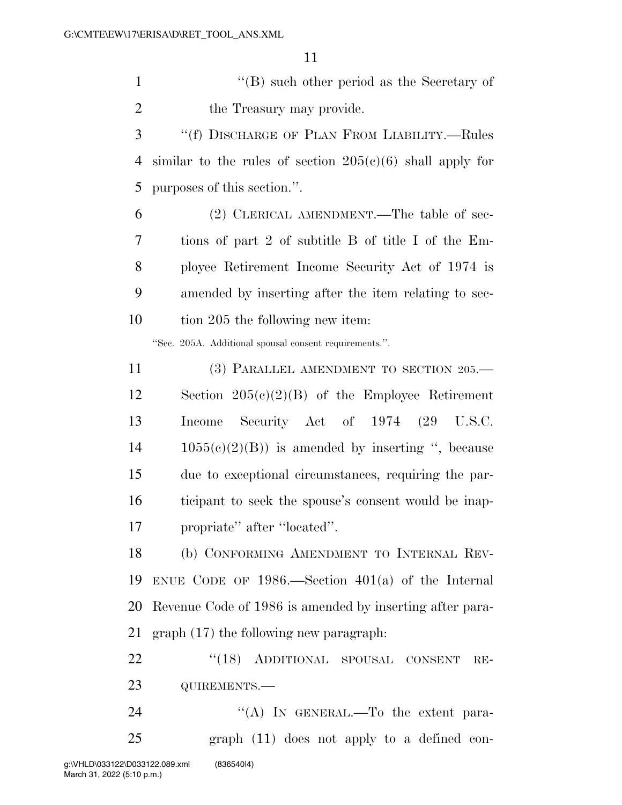''(B) such other period as the Secretary of 2 the Treasury may provide.

 ''(f) DISCHARGE OF PLAN FROM LIABILITY.—Rules 4 similar to the rules of section  $205(c)(6)$  shall apply for purposes of this section.''.

 (2) CLERICAL AMENDMENT.—The table of sec- tions of part 2 of subtitle B of title I of the Em- ployee Retirement Income Security Act of 1974 is amended by inserting after the item relating to sec-10 tion 205 the following new item:

''Sec. 205A. Additional spousal consent requirements.''.

11 (3) PARALLEL AMENDMENT TO SECTION 205.— Section 205(c)(2)(B) of the Employee Retirement Income Security Act of 1974 (29 U.S.C.  $14 \qquad 1055(c)(2)(B)$  is amended by inserting ", because due to exceptional circumstances, requiring the par- ticipant to seek the spouse's consent would be inap-propriate'' after ''located''.

 (b) CONFORMING AMENDMENT TO INTERNAL REV- ENUE CODE OF 1986.—Section 401(a) of the Internal Revenue Code of 1986 is amended by inserting after para-graph (17) the following new paragraph:

22 "(18) ADDITIONAL SPOUSAL CONSENT RE-QUIREMENTS.—

24 "(A) In GENERAL.—To the extent para-graph (11) does not apply to a defined con-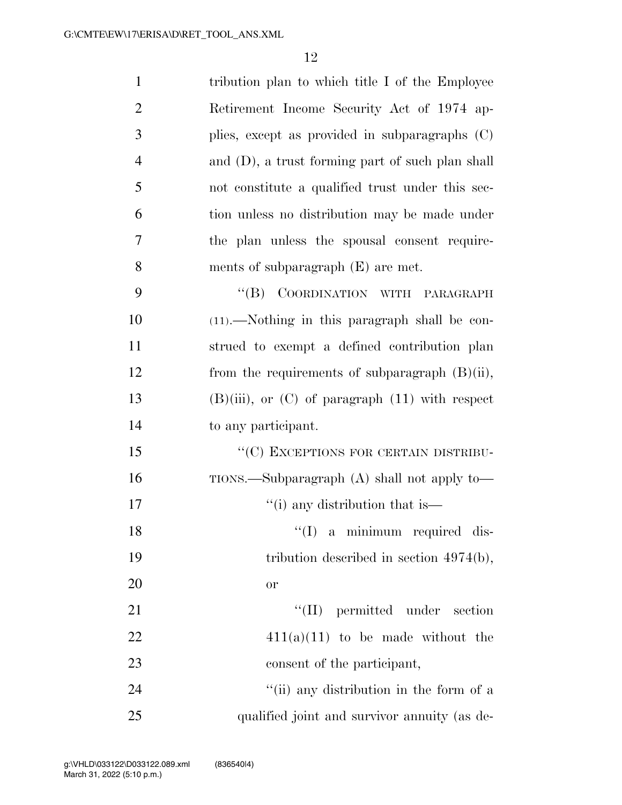| $\mathbf{1}$   | tribution plan to which title I of the Employee        |
|----------------|--------------------------------------------------------|
| $\overline{2}$ | Retirement Income Security Act of 1974 ap-             |
| 3              | plies, except as provided in subparagraphs $(C)$       |
| $\overline{4}$ | and (D), a trust forming part of such plan shall       |
| 5              | not constitute a qualified trust under this sec-       |
| 6              | tion unless no distribution may be made under          |
| 7              | the plan unless the spousal consent require-           |
| 8              | ments of subparagraph $(E)$ are met.                   |
| 9              | COORDINATION WITH PARAGRAPH<br>$\lq\lq (B)$            |
| 10             | $(11)$ .—Nothing in this paragraph shall be con-       |
| 11             | strued to exempt a defined contribution plan           |
| 12             | from the requirements of subparagraph $(B)(ii)$ ,      |
| 13             | $(B)(iii)$ , or $(C)$ of paragraph $(11)$ with respect |
| 14             | to any participant.                                    |
| 15             | "(C) EXCEPTIONS FOR CERTAIN DISTRIBU-                  |
| 16             | $TIONS$ . Subparagraph $(A)$ shall not apply to $-$    |
| 17             | "(i) any distribution that is—                         |
| 18             | $\lq(1)$ a minimum required dis-                       |
| 19             | tribution described in section $4974(b)$ ,             |
| 20             | <b>or</b>                                              |
| 21             | $\lq\lq$ (II) permitted under section                  |
| 22             | $411(a)(11)$ to be made without the                    |
| 23             | consent of the participant,                            |
| 24             | "(ii) any distribution in the form of a                |
| 25             | qualified joint and survivor annuity (as de-           |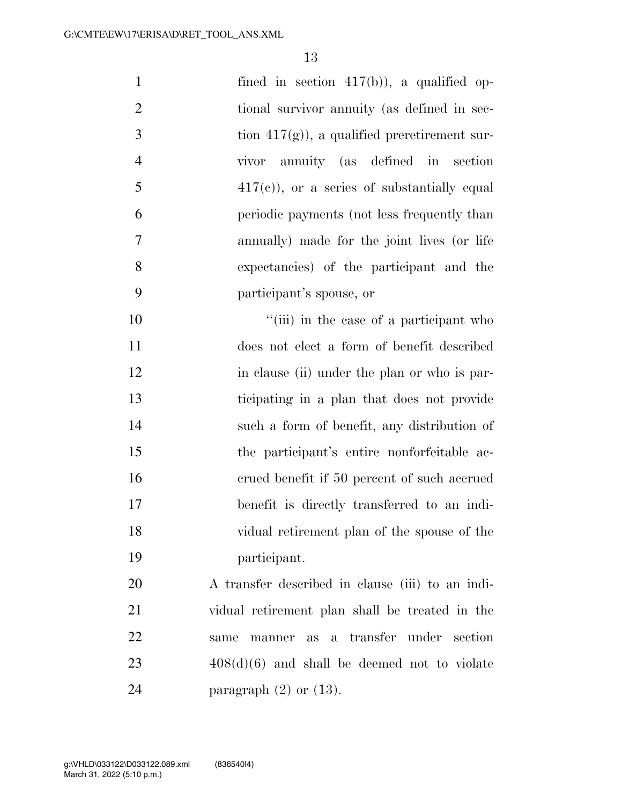| $\mathbf{1}$   | fined in section $417(b)$ , a qualified op-      |
|----------------|--------------------------------------------------|
| $\overline{2}$ | tional survivor annuity (as defined in sec-      |
| 3              | tion $417(g)$ , a qualified preretirement sur-   |
| $\overline{4}$ | vivor annuity (as defined in section             |
| 5              | $417(e)$ , or a series of substantially equal    |
| 6              | periodic payments (not less frequently than      |
| 7              | annually) made for the joint lives (or life      |
| 8              | expectancies) of the participant and the         |
| 9              | participant's spouse, or                         |
| 10             | "(iii) in the case of a participant who          |
| 11             | does not elect a form of benefit described       |
| 12             | in clause (ii) under the plan or who is par-     |
| 13             | ticipating in a plan that does not provide       |
| 14             | such a form of benefit, any distribution of      |
| 15             | the participant's entire nonforfeitable ac-      |
| 16             | erued benefit if 50 percent of such accrued      |
| 17             | benefit is directly transferred to an indi-      |
| 18             | vidual retirement plan of the spouse of the      |
| 19             | participant.                                     |
| 20             | A transfer described in clause (iii) to an indi- |
| 21             | vidual retirement plan shall be treated in the   |
| 22             | as a transfer under section<br>same<br>manner    |
| 23             | $408(d)(6)$ and shall be deemed not to violate   |
| 24             | paragraph $(2)$ or $(13)$ .                      |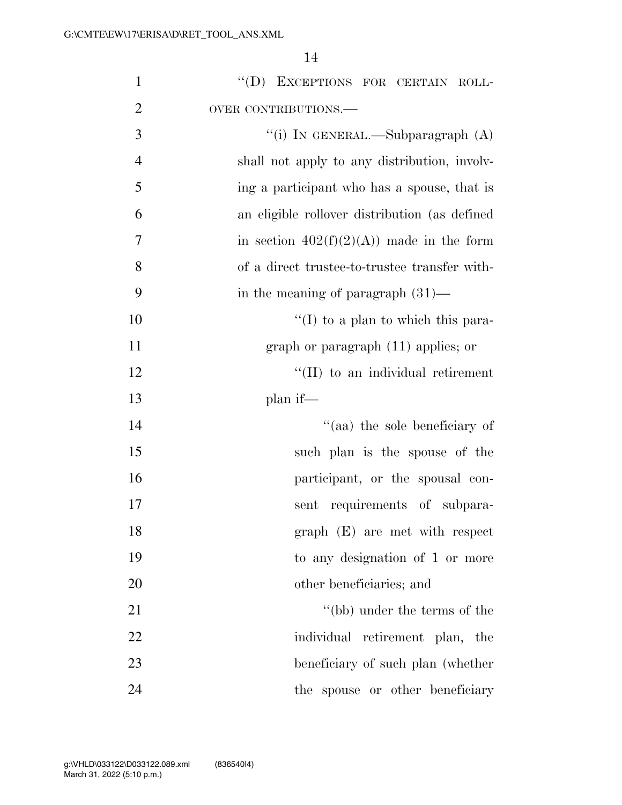| $\mathbf{1}$   | "(D) EXCEPTIONS FOR CERTAIN ROLL-             |
|----------------|-----------------------------------------------|
| $\overline{2}$ | OVER CONTRIBUTIONS.-                          |
| 3              | "(i) IN GENERAL.—Subparagraph $(A)$           |
| $\overline{4}$ | shall not apply to any distribution, involv-  |
| 5              | ing a participant who has a spouse, that is   |
| 6              | an eligible rollover distribution (as defined |
| 7              | in section $402(f)(2)(A)$ made in the form    |
| 8              | of a direct trustee-to-trustee transfer with- |
| 9              | in the meaning of paragraph $(31)$ —          |
| 10             | $\lq (I)$ to a plan to which this para-       |
| 11             | graph or paragraph $(11)$ applies; or         |
| 12             | "(II) to an individual retirement             |
| 13             | plan if—                                      |
| 14             | "(aa) the sole beneficiary of                 |
| 15             | such plan is the spouse of the                |
| 16             | participant, or the spousal con-              |
| 17             | sent requirements of subpara-                 |
| 18             | graph (E) are met with respect                |
| 19             | to any designation of 1 or more               |
| 20             | other beneficiaries; and                      |
| 21             | "(bb) under the terms of the                  |
| 22             | individual retirement plan, the               |
| 23             | beneficiary of such plan (whether             |
| 24             | the spouse or other beneficiary               |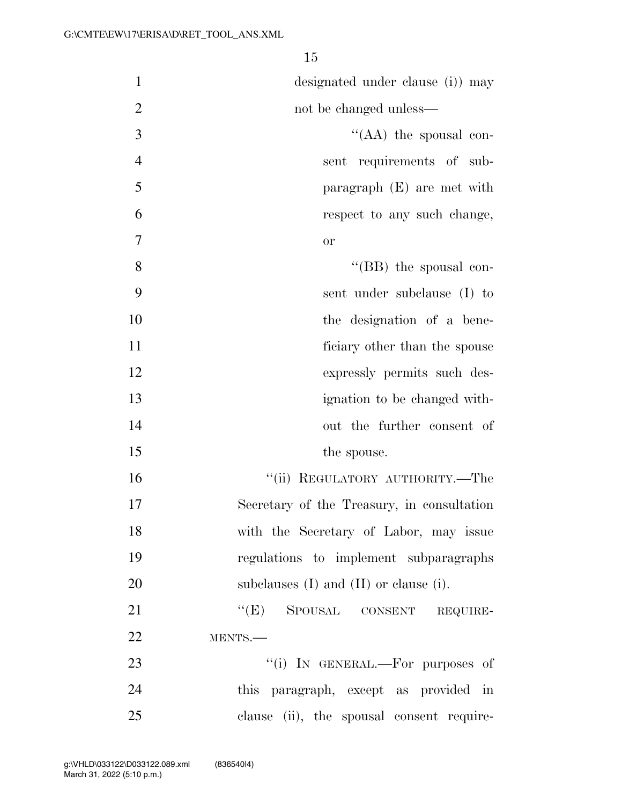| $\mathbf{1}$   | designated under clause (i) may               |
|----------------|-----------------------------------------------|
| $\overline{2}$ | not be changed unless—                        |
| 3              | "( $AA$ ) the spousal con-                    |
| $\overline{4}$ | sent requirements of sub-                     |
| 5              | paragraph $(E)$ are met with                  |
| 6              | respect to any such change,                   |
| $\overline{7}$ | or                                            |
| 8              | $\lq\lq$ (BB) the spousal con-                |
| 9              | sent under subclause (I) to                   |
| 10             | the designation of a bene-                    |
| 11             | ficiary other than the spouse                 |
| 12             | expressly permits such des-                   |
| 13             | ignation to be changed with-                  |
| 14             | out the further consent of                    |
| 15             | the spouse.                                   |
| 16             | "(ii) REGULATORY AUTHORITY.—The               |
| 17             | Secretary of the Treasury, in consultation    |
| 18             | with the Secretary of Labor, may issue        |
| 19             | regulations to implement subparagraphs        |
| 20             | subclauses $(I)$ and $(II)$ or clause $(i)$ . |
| 21             | "(E) SPOUSAL CONSENT REQUIRE-                 |
| 22             | MENTS.-                                       |
| 23             | "(i) IN GENERAL.—For purposes of              |
| 24             | this paragraph, except as provided in         |
| 25             | clause (ii), the spousal consent require-     |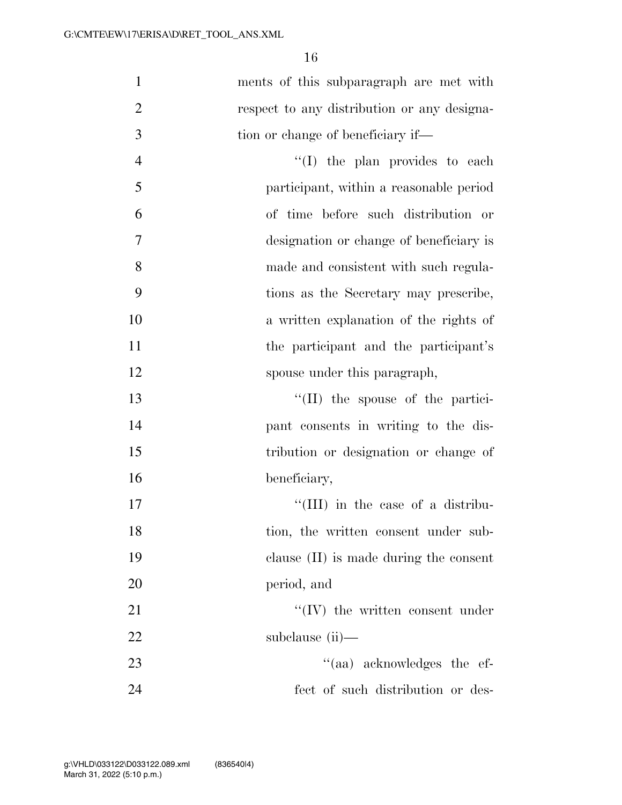| $\mathbf{1}$   | ments of this subparagraph are met with     |
|----------------|---------------------------------------------|
| $\overline{2}$ | respect to any distribution or any designa- |
| 3              | tion or change of beneficiary if—           |
| $\overline{4}$ | "(I) the plan provides to each              |
| 5              | participant, within a reasonable period     |
| 6              | of time before such distribution or         |
| $\tau$         | designation or change of beneficiary is     |
| 8              | made and consistent with such regula-       |
| 9              | tions as the Secretary may prescribe,       |
| 10             | a written explanation of the rights of      |
| 11             | the participant and the participant's       |
| 12             | spouse under this paragraph,                |
| 13             | $\lq\lq$ (II) the spouse of the partici-    |
| 14             | pant consents in writing to the dis-        |
| 15             | tribution or designation or change of       |
| 16             | beneficiary,                                |
| 17             | "(III) in the case of a distribu-           |
| 18             | tion, the written consent under sub-        |
| 19             | clause $(II)$ is made during the consent    |
| 20             | period, and                                 |
| 21             | $``(IV)$ the written consent under          |
| 22             | subclause (ii)—                             |
| 23             | "(aa) acknowledges the ef-                  |
| 24             | fect of such distribution or des-           |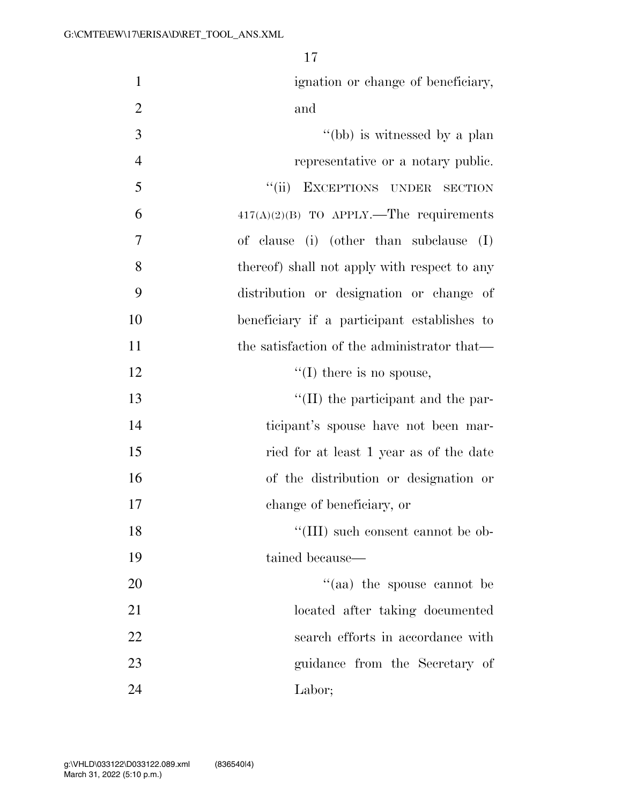| $\mathbf{1}$   | ignation or change of beneficiary,           |
|----------------|----------------------------------------------|
| $\overline{2}$ | and                                          |
| 3              | "(bb) is witnessed by a plan                 |
| $\overline{4}$ | representative or a notary public.           |
| 5              | "(ii) EXCEPTIONS UNDER SECTION               |
| 6              | $417(A)(2)(B)$ TO APPLY.—The requirements    |
| 7              | of clause (i) (other than subclause (I)      |
| 8              | thereof) shall not apply with respect to any |
| 9              | distribution or designation or change of     |
| 10             | beneficiary if a participant establishes to  |
| 11             | the satisfaction of the administrator that—  |
| 12             | $\lq\lq$ (I) there is no spouse,             |
| 13             | "(II) the participant and the par-           |
| 14             | ticipant's spouse have not been mar-         |
| 15             | ried for at least 1 year as of the date      |
| 16             | of the distribution or designation or        |
| 17             | change of beneficiary, or                    |
| 18             | "(III) such consent cannot be ob-            |
| 19             | tained because-                              |
| 20             | $\cdot$ (aa) the spouse cannot be            |
| 21             | located after taking documented              |
| 22             | search efforts in accordance with            |
| 23             | guidance from the Secretary of               |
| 24             | Labor;                                       |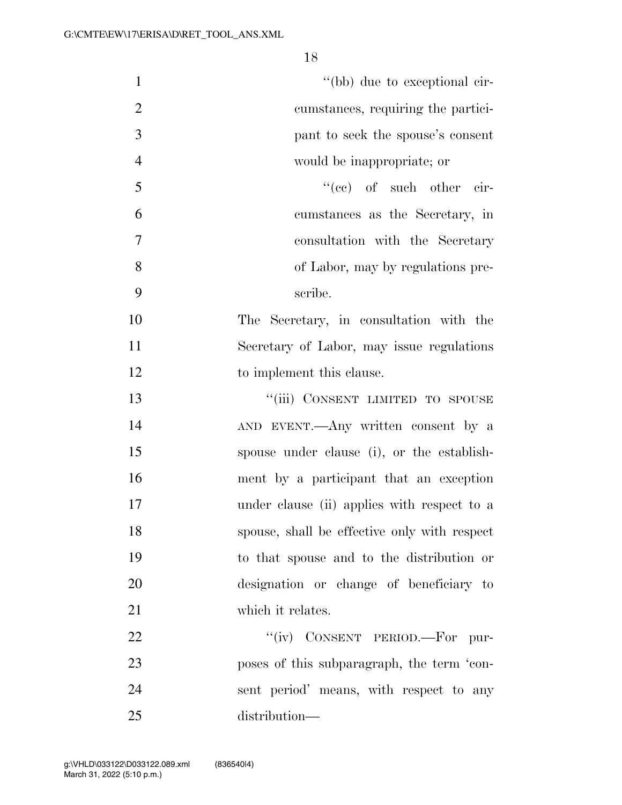| $\mathbf{1}$   | "(bb) due to exceptional cir-                |
|----------------|----------------------------------------------|
| $\overline{2}$ | cumstances, requiring the partici-           |
| 3              | pant to seek the spouse's consent            |
| $\overline{4}$ | would be inappropriate; or                   |
| 5              | "(ce) of such other cir-                     |
| 6              | cumstances as the Secretary, in              |
| $\tau$         | consultation with the Secretary              |
| 8              | of Labor, may by regulations pre-            |
| 9              | scribe.                                      |
| 10             | The Secretary, in consultation with the      |
| 11             | Secretary of Labor, may issue regulations    |
| 12             | to implement this clause.                    |
| 13             | "(iii) CONSENT LIMITED TO SPOUSE             |
| 14             | AND EVENT.—Any written consent by a          |
| 15             | spouse under clause (i), or the establish-   |
| 16             | ment by a participant that an exception      |
| 17             | under clause (ii) applies with respect to a  |
| 18             | spouse, shall be effective only with respect |
| 19             | to that spouse and to the distribution or    |
| 20             | designation or change of beneficiary to      |
| 21             | which it relates.                            |
| 22             | "(iv) CONSENT PERIOD.—For pur-               |
| 23             | poses of this subparagraph, the term 'con-   |
| 24             | sent period' means, with respect to any      |
| 25             | distribution-                                |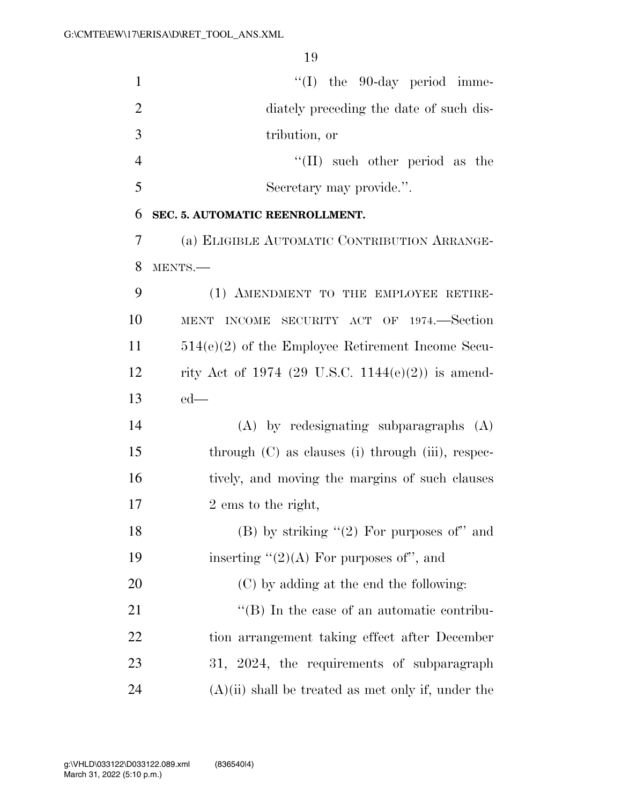| $\mathbf{1}$   | $\lq\lq$ (I) the 90-day period imme-                 |
|----------------|------------------------------------------------------|
| $\overline{2}$ | diately preceding the date of such dis-              |
| 3              | tribution, or                                        |
| $\overline{4}$ | $\lq\lq$ (II) such other period as the               |
| 5              | Secretary may provide.".                             |
| 6              | SEC. 5. AUTOMATIC REENROLLMENT.                      |
| 7              | (a) ELIGIBLE AUTOMATIC CONTRIBUTION ARRANGE-         |
| 8              | MENTS.-                                              |
| 9              | (1) AMENDMENT TO THE EMPLOYEE RETIRE-                |
| 10             | SECURITY ACT OF 1974.—Section<br>MENT INCOME         |
| 11             | $514(e)(2)$ of the Employee Retirement Income Secu-  |
| 12             | rity Act of 1974 (29 U.S.C. 1144(e)(2)) is amend-    |
| 13             | $ed$ —                                               |
| 14             | $(A)$ by redesignating subparagraphs $(A)$           |
| 15             | through (C) as clauses (i) through (iii), respec-    |
| 16             | tively, and moving the margins of such clauses       |
| 17             | 2 ems to the right,                                  |
| 18             | (B) by striking $(2)$ For purposes of" and           |
| 19             | inserting " $(2)(A)$ For purposes of", and           |
| 20             | (C) by adding at the end the following:              |
| 21             | $\lq\lq (B)$ In the case of an automatic contribu-   |
| 22             | tion arrangement taking effect after December        |
| 23             | 31, 2024, the requirements of subparagraph           |
| 24             | $(A)(ii)$ shall be treated as met only if, under the |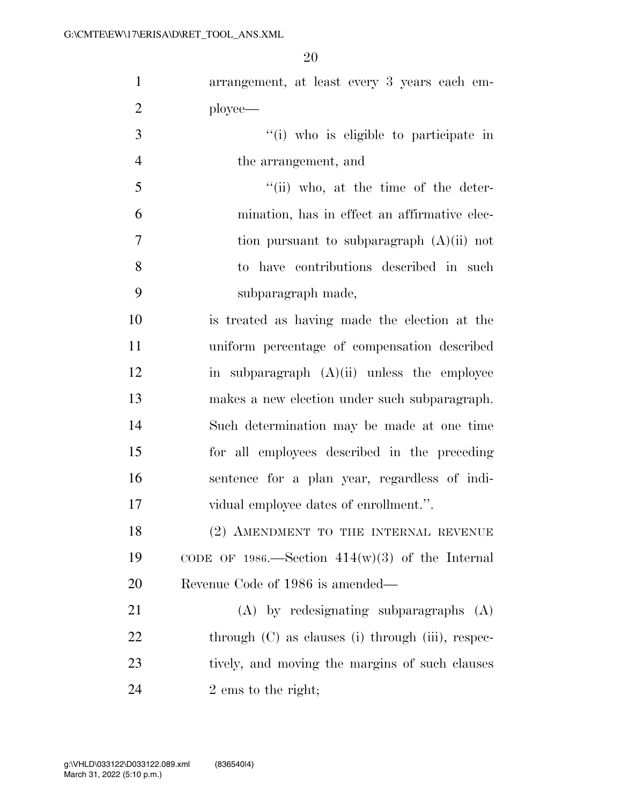arrangement, at least every 3 years each em-ployee—

 ''(i) who is eligible to participate in the arrangement, and

 ''(ii) who, at the time of the deter- mination, has in effect an affirmative elec- tion pursuant to subparagraph (A)(ii) not to have contributions described in such subparagraph made,

 is treated as having made the election at the uniform percentage of compensation described in subparagraph (A)(ii) unless the employee makes a new election under such subparagraph. Such determination may be made at one time for all employees described in the preceding sentence for a plan year, regardless of indi-vidual employee dates of enrollment.''.

18 (2) AMENDMENT TO THE INTERNAL REVENUE 19 CODE OF 1986.—Section  $414(w)(3)$  of the Internal Revenue Code of 1986 is amended—

 (A) by redesignating subparagraphs (A) 22 through (C) as clauses (i) through (iii), respec-23 tively, and moving the margins of such clauses 24 2 ems to the right;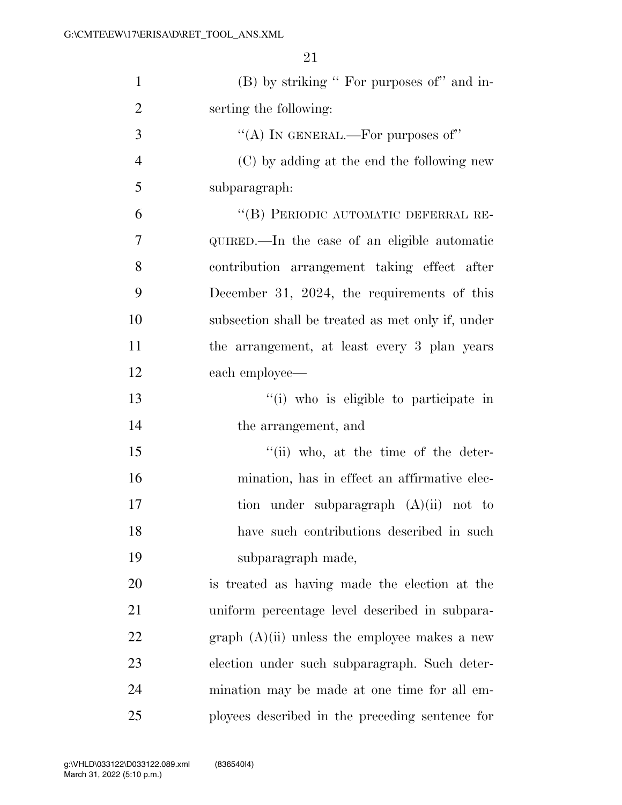| $\mathbf{1}$   | (B) by striking " For purposes of" and in-        |
|----------------|---------------------------------------------------|
| $\overline{2}$ | serting the following:                            |
| 3              | "(A) IN GENERAL.—For purposes of"                 |
| $\overline{4}$ | (C) by adding at the end the following new        |
| 5              | subparagraph:                                     |
| 6              | "(B) PERIODIC AUTOMATIC DEFERRAL RE-              |
| $\tau$         | QUIRED.—In the case of an eligible automatic      |
| 8              | contribution arrangement taking effect after      |
| 9              | December 31, 2024, the requirements of this       |
| 10             | subsection shall be treated as met only if, under |
| 11             | the arrangement, at least every 3 plan years      |
| 12             | each employee—                                    |
| 13             | "(i) who is eligible to participate in            |
| 14             | the arrangement, and                              |
| 15             | "(ii) who, at the time of the deter-              |
| 16             | mination, has in effect an affirmative elec-      |
| 17             | tion under subparagraph $(A)(ii)$ not to          |
| 18             | have such contributions described in such         |
| 19             | subparagraph made,                                |
| 20             | is treated as having made the election at the     |
| 21             | uniform percentage level described in subpara-    |
| 22             | graph $(A)(ii)$ unless the employee makes a new   |
| 23             | election under such subparagraph. Such deter-     |
| 24             | mination may be made at one time for all em-      |
| 25             | ployees described in the preceding sentence for   |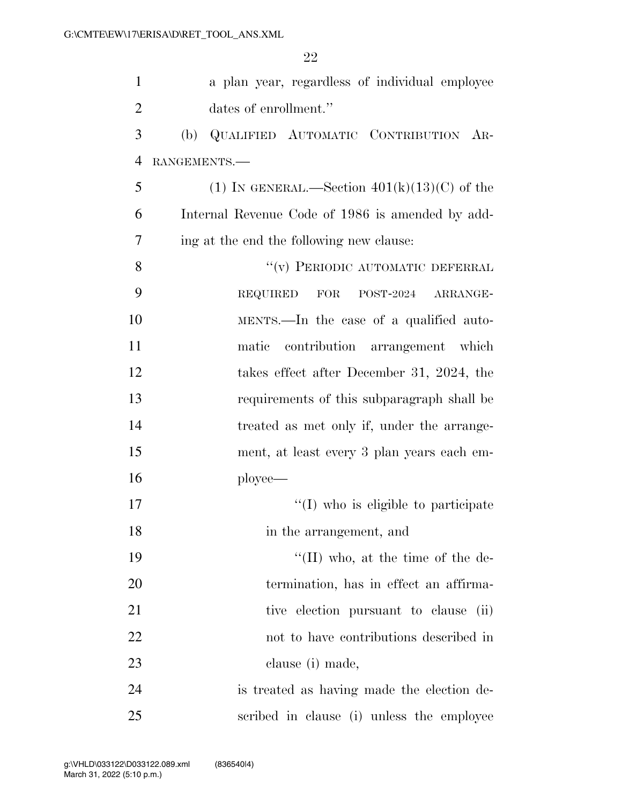| $\mathbf{1}$   | a plan year, regardless of individual employee      |
|----------------|-----------------------------------------------------|
| $\overline{2}$ | dates of enrollment."                               |
| 3              | QUALIFIED AUTOMATIC CONTRIBUTION AR-<br>(b)         |
| $\overline{4}$ | RANGEMENTS.                                         |
| 5              | (1) IN GENERAL.—Section $401(k)(13)(C)$ of the      |
| 6              | Internal Revenue Code of 1986 is amended by add-    |
| 7              | ing at the end the following new clause:            |
| 8              | $\lq\lq(\mathbf{v})$ PERIODIC AUTOMATIC DEFERRAL    |
| 9              | <b>REQUIRED</b><br><b>FOR</b><br>POST-2024 ARRANGE- |
| 10             | MENTS.—In the case of a qualified auto-             |
| 11             | contribution arrangement which<br>matic             |
| 12             | takes effect after December 31, 2024, the           |
| 13             | requirements of this subparagraph shall be          |
| 14             | treated as met only if, under the arrange-          |
| 15             | ment, at least every 3 plan years each em-          |
| 16             | ployee—                                             |
| 17             | $\lq\lq$ (I) who is eligible to participate         |
| 18             | in the arrangement, and                             |
| 19             | $\lq\lq$ (II) who, at the time of the de-           |
| 20             | termination, has in effect an affirma-              |
| 21             | tive election pursuant to clause<br>(ii)            |
| 22             | not to have contributions described in              |
| 23             | clause (i) made,                                    |
| 24             | is treated as having made the election de-          |
| 25             | scribed in clause (i) unless the employee           |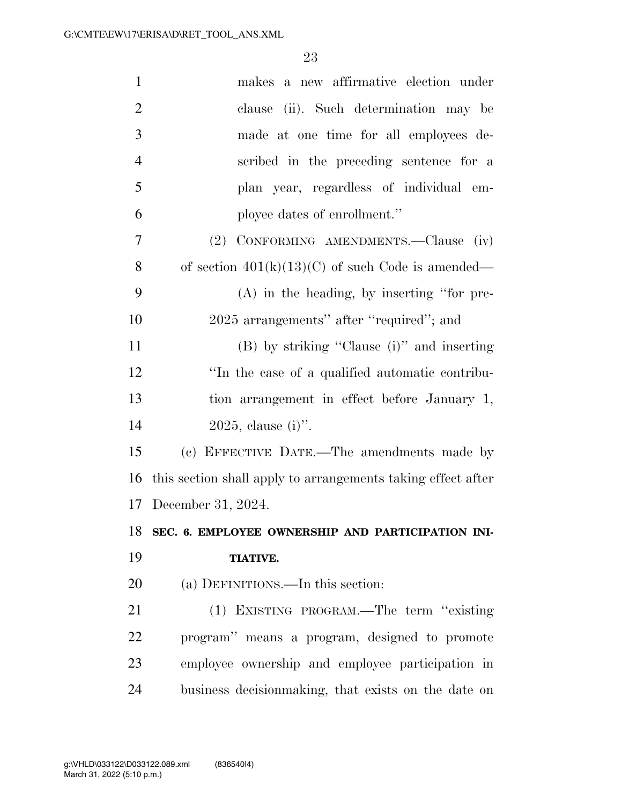| $\mathbf{1}$   | makes a new affirmative election under                       |
|----------------|--------------------------------------------------------------|
| $\overline{2}$ | clause (ii). Such determination may be                       |
| 3              | made at one time for all employees de-                       |
| $\overline{4}$ | scribed in the preceding sentence for a                      |
| 5              | plan year, regardless of individual em-                      |
| 6              | ployee dates of enrollment."                                 |
| 7              | (2) CONFORMING AMENDMENTS.—Clause (iv)                       |
| 8              | of section $401(k)(13)(C)$ of such Code is amended—          |
| 9              | $(A)$ in the heading, by inserting "for pre-                 |
| 10             | 2025 arrangements" after "required"; and                     |
| 11             | (B) by striking "Clause (i)" and inserting                   |
| 12             | "In the case of a qualified automatic contribu-              |
| 13             | tion arrangement in effect before January 1,                 |
| 14             | $2025$ , clause (i)".                                        |
| 15             | (c) EFFECTIVE DATE.—The amendments made by                   |
| 16             | this section shall apply to arrangements taking effect after |
|                | 17 December 31, 2024.                                        |
|                | 18 SEC. 6. EMPLOYEE OWNERSHIP AND PARTICIPATION INI-         |
| 19             | <b>TIATIVE.</b>                                              |
| 20             | (a) DEFINITIONS.—In this section:                            |
| 21             | (1) EXISTING PROGRAM.—The term "existing                     |
| 22             | program" means a program, designed to promote                |
| 23             | employee ownership and employee participation in             |
| 24             | business decision making, that exists on the date on         |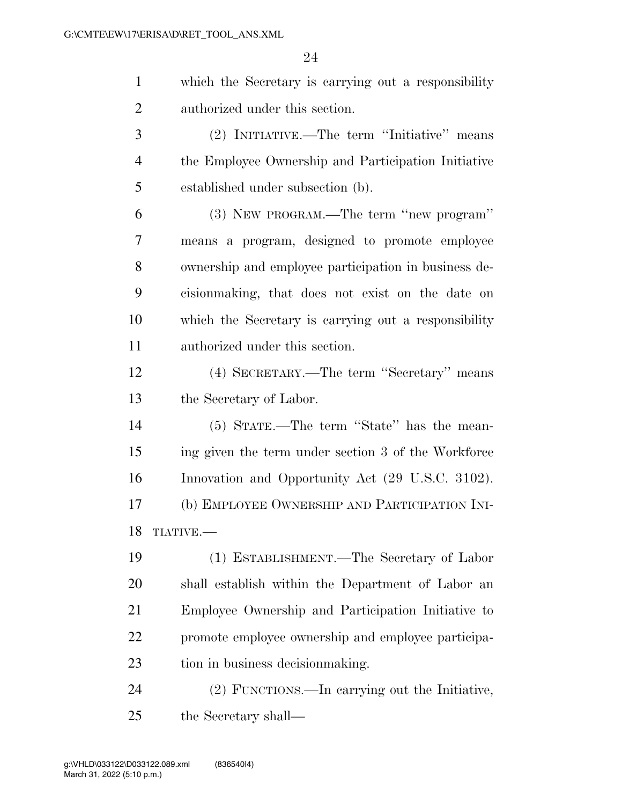|                       | which the Secretary is carrying out a responsibility |
|-----------------------|------------------------------------------------------|
| $\mathcal{D}_{\cdot}$ | authorized under this section.                       |
| 3                     | (2) INITIATIVE.—The term "Initiative" means          |
|                       | the Employee Ownership and Participation Initiative  |
| 5                     | established under subsection (b).                    |
| 6                     | (3) NEW PROGRAM.—The term "new program"              |
|                       | means a program, designed to promote employee        |
|                       |                                                      |

 cisionmaking, that does not exist on the date on which the Secretary is carrying out a responsibility authorized under this section.

ownership and employee participation in business de-

 (4) SECRETARY.—The term ''Secretary'' means the Secretary of Labor.

 (5) STATE.—The term ''State'' has the mean- ing given the term under section 3 of the Workforce Innovation and Opportunity Act (29 U.S.C. 3102). (b) EMPLOYEE OWNERSHIP AND PARTICIPATION INI-TIATIVE.—

 (1) ESTABLISHMENT.—The Secretary of Labor shall establish within the Department of Labor an Employee Ownership and Participation Initiative to promote employee ownership and employee participa-tion in business decisionmaking.

 (2) FUNCTIONS.—In carrying out the Initiative, the Secretary shall—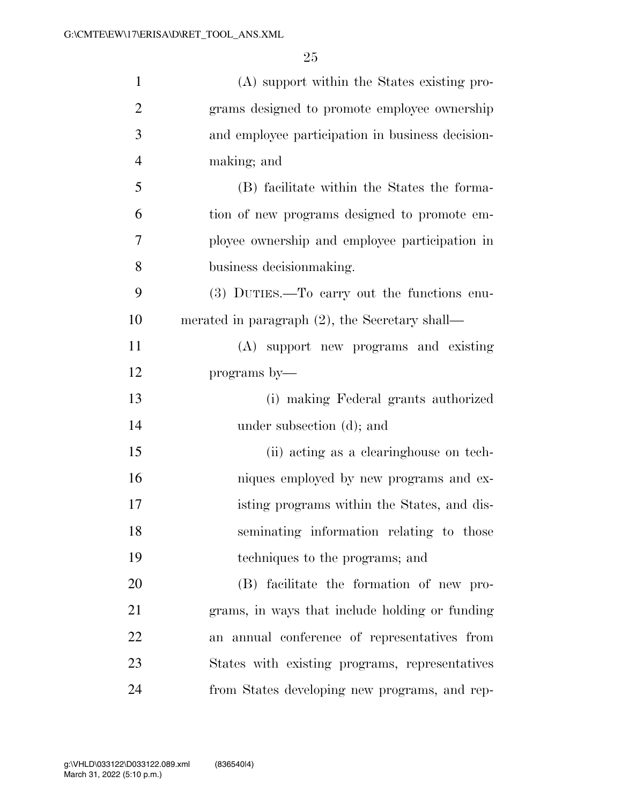| $\mathbf{1}$   | (A) support within the States existing pro-       |
|----------------|---------------------------------------------------|
| $\overline{2}$ | grams designed to promote employee ownership      |
| 3              | and employee participation in business decision-  |
| $\overline{4}$ | making; and                                       |
| 5              | (B) facilitate within the States the forma-       |
| 6              | tion of new programs designed to promote em-      |
| 7              | ployee ownership and employee participation in    |
| 8              | business decision making.                         |
| 9              | (3) DUTIES.—To carry out the functions enu-       |
| 10             | merated in paragraph $(2)$ , the Secretary shall— |
| 11             | (A) support new programs and existing             |
| 12             | programs by—                                      |
| 13             | (i) making Federal grants authorized              |
| 14             | under subsection (d); and                         |
| 15             | (ii) acting as a clearinghouse on tech-           |
| 16             | niques employed by new programs and ex-           |
| 17             | isting programs within the States, and dis-       |
| 18             | seminating information relating to those          |
| 19             | techniques to the programs; and                   |
| 20             | (B) facilitate the formation of new pro-          |
| 21             | grams, in ways that include holding or funding    |
| 22             | an annual conference of representatives from      |
| 23             | States with existing programs, representatives    |
| 24             | from States developing new programs, and rep-     |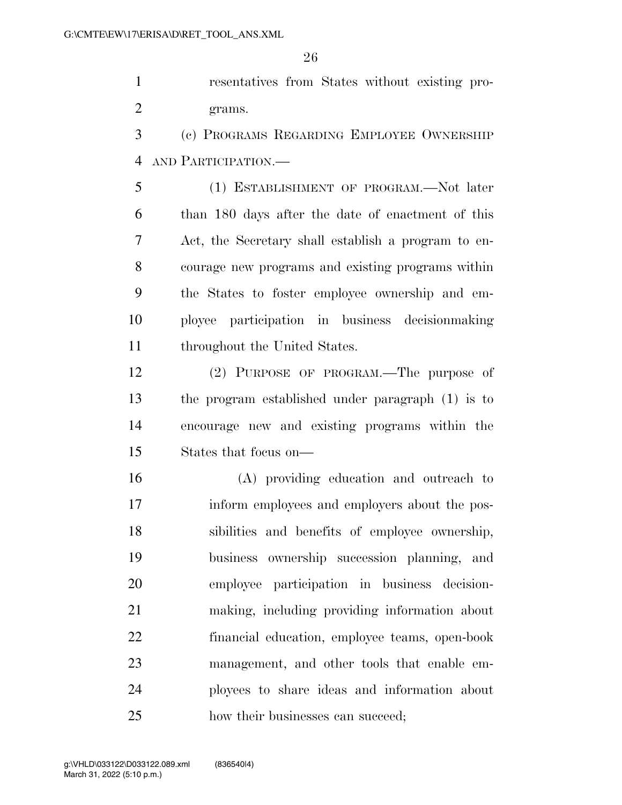resentatives from States without existing pro-grams.

 (c) PROGRAMS REGARDING EMPLOYEE OWNERSHIP AND PARTICIPATION.—

 (1) ESTABLISHMENT OF PROGRAM.—Not later than 180 days after the date of enactment of this Act, the Secretary shall establish a program to en- courage new programs and existing programs within the States to foster employee ownership and em- ployee participation in business decisionmaking throughout the United States.

 (2) PURPOSE OF PROGRAM.—The purpose of the program established under paragraph (1) is to encourage new and existing programs within the States that focus on—

 (A) providing education and outreach to inform employees and employers about the pos- sibilities and benefits of employee ownership, business ownership succession planning, and employee participation in business decision- making, including providing information about financial education, employee teams, open-book management, and other tools that enable em- ployees to share ideas and information about 25 how their businesses can succeed;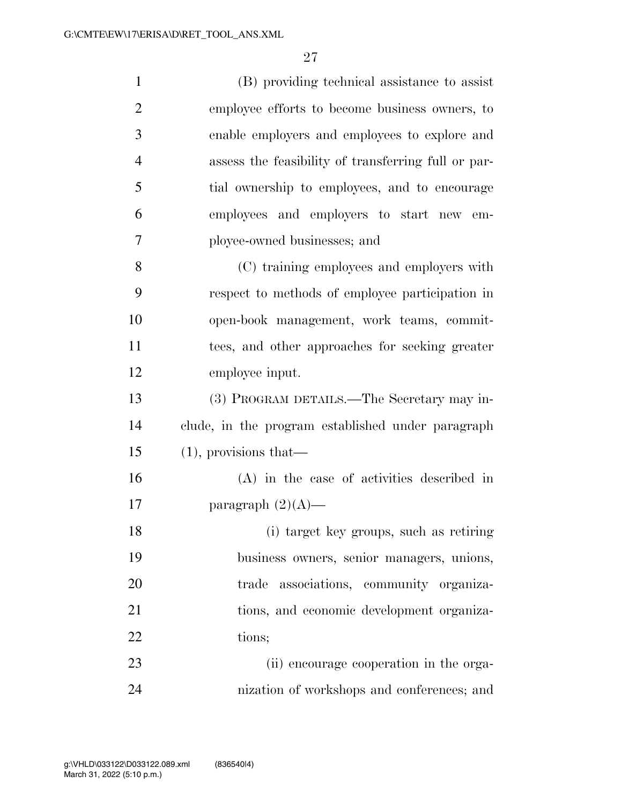| $\mathbf{1}$   | (B) providing technical assistance to assist        |
|----------------|-----------------------------------------------------|
| $\overline{2}$ | employee efforts to become business owners, to      |
| 3              | enable employers and employees to explore and       |
| $\overline{4}$ | assess the feasibility of transferring full or par- |
| 5              | tial ownership to employees, and to encourage       |
| 6              | employees and employers to start new em-            |
| 7              | ployee-owned businesses; and                        |
| 8              | (C) training employees and employers with           |
| 9              | respect to methods of employee participation in     |
| 10             | open-book management, work teams, commit-           |
| 11             | tees, and other approaches for seeking greater      |
| 12             | employee input.                                     |
| 13             | (3) PROGRAM DETAILS.—The Secretary may in-          |
| 14             | clude, in the program established under paragraph   |
| 15             | $(1)$ , provisions that—                            |
| 16             | $(A)$ in the case of activities described in        |
| 17             | paragraph $(2)(A)$ —                                |
| 18             | (i) target key groups, such as retiring             |
| 19             | business owners, senior managers, unions,           |
| 20             | associations, community organiza-<br>trade          |
| 21             | tions, and economic development organiza-           |
| 22             | tions;                                              |
| 23             | (ii) encourage cooperation in the orga-             |
| 24             | nization of workshops and conferences; and          |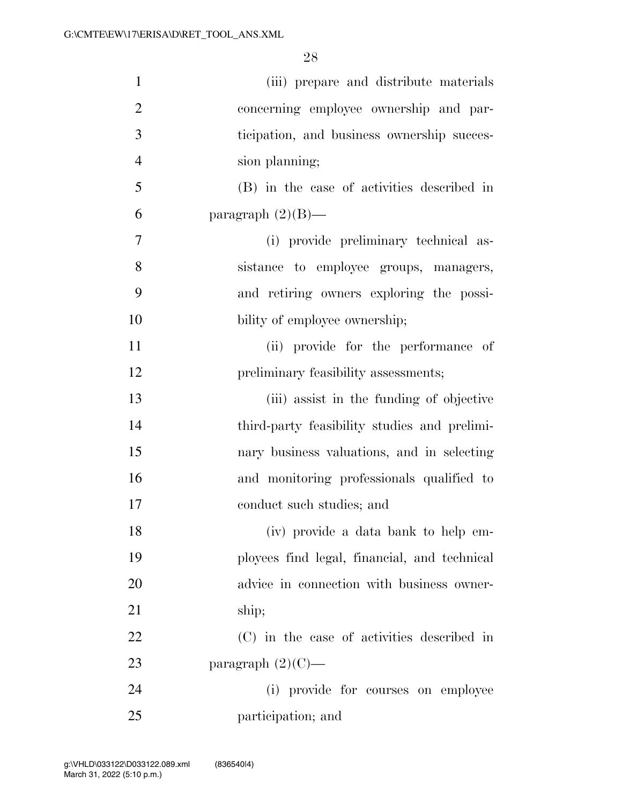| $\mathbf{1}$   | (iii) prepare and distribute materials       |
|----------------|----------------------------------------------|
| $\overline{2}$ | concerning employee ownership and par-       |
| 3              | ticipation, and business ownership succes-   |
| $\overline{4}$ | sion planning;                               |
| 5              | (B) in the case of activities described in   |
| 6              | paragraph $(2)(B)$ —                         |
| 7              | (i) provide preliminary technical as-        |
| 8              | sistance to employee groups, managers,       |
| 9              | and retiring owners exploring the possi-     |
| 10             | bility of employee ownership;                |
| 11             | (ii) provide for the performance of          |
| 12             | preliminary feasibility assessments;         |
| 13             | (iii) assist in the funding of objective     |
| 14             | third-party feasibility studies and prelimi- |
| 15             | nary business valuations, and in selecting   |
| 16             | and monitoring professionals qualified to    |
| 17             | conduct such studies; and                    |
| 18             | (iv) provide a data bank to help em-         |
| 19             | ployees find legal, financial, and technical |
| 20             | advice in connection with business owner-    |
| 21             | ship;                                        |
| 22             | (C) in the case of activities described in   |
| 23             | paragraph $(2)(C)$ —                         |
| 24             | (i) provide for courses on employee          |
| 25             | participation; and                           |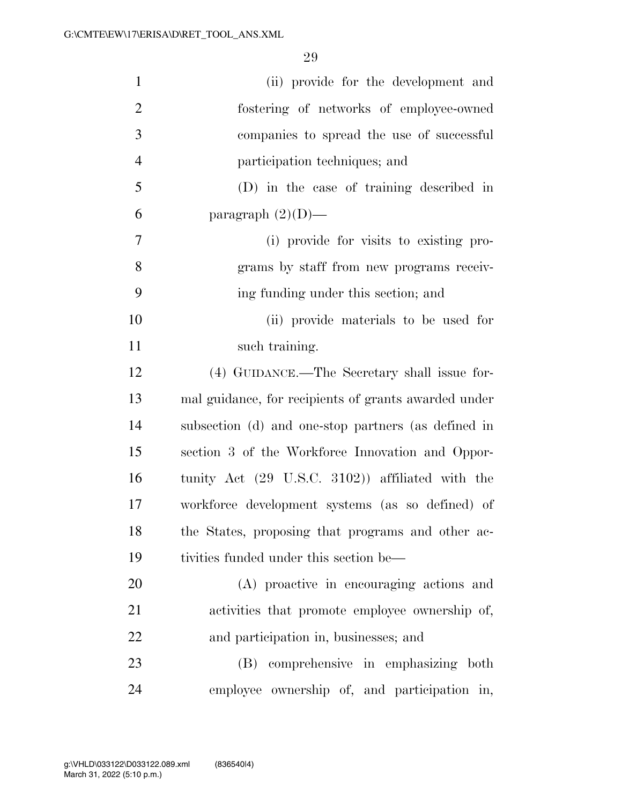| $\mathbf{1}$   | (ii) provide for the development and                 |
|----------------|------------------------------------------------------|
| $\overline{2}$ | fostering of networks of employee-owned              |
| 3              | companies to spread the use of successful            |
| $\overline{4}$ | participation techniques; and                        |
| 5              | (D) in the case of training described in             |
| 6              | paragraph $(2)(D)$ —                                 |
| 7              | (i) provide for visits to existing pro-              |
| 8              | grams by staff from new programs receiv-             |
| 9              | ing funding under this section; and                  |
| 10             | (ii) provide materials to be used for                |
| 11             | such training.                                       |
| 12             | (4) GUIDANCE.—The Secretary shall issue for-         |
| 13             | mal guidance, for recipients of grants awarded under |
| 14             | subsection (d) and one-stop partners (as defined in  |
| 15             | section 3 of the Workforce Innovation and Oppor-     |
| 16             | tunity Act (29 U.S.C. 3102)) affiliated with the     |
| 17             | workforce development systems (as so defined) of     |
| 18             | the States, proposing that programs and other ac-    |
| 19             | tivities funded under this section be—               |
| 20             | (A) proactive in encouraging actions and             |
| 21             | activities that promote employee ownership of,       |
| 22             | and participation in, businesses; and                |
| 23             | comprehensive in emphasizing both<br>(B)             |
| 24             | employee ownership of, and participation in,         |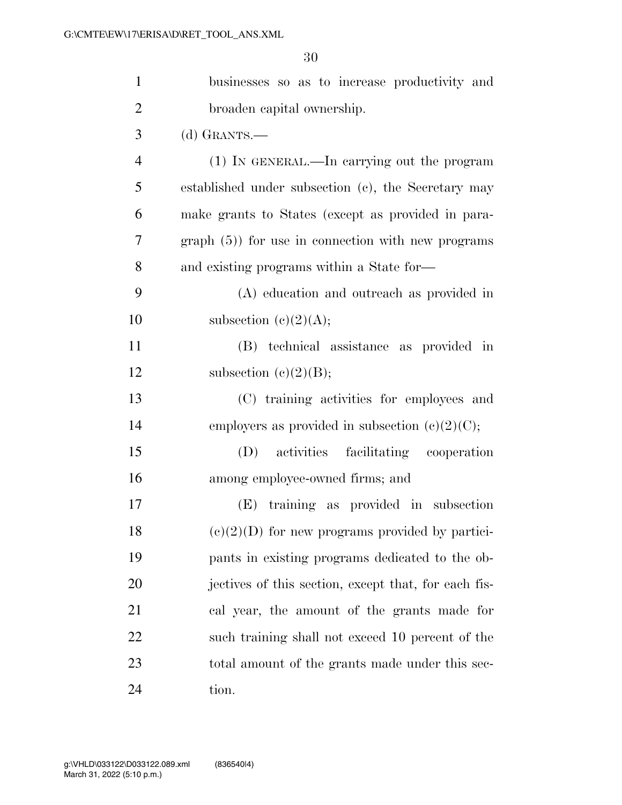| $\mathbf{1}$   | businesses so as to increase productivity and        |
|----------------|------------------------------------------------------|
| $\overline{2}$ | broaden capital ownership.                           |
| 3              | $(d)$ GRANTS.—                                       |
| $\overline{4}$ | (1) IN GENERAL.—In carrying out the program          |
| 5              | established under subsection (c), the Secretary may  |
| 6              | make grants to States (except as provided in para-   |
| 7              | $graph(5)$ for use in connection with new programs   |
| 8              | and existing programs within a State for-            |
| 9              | (A) education and outreach as provided in            |
| 10             | subsection $(c)(2)(A);$                              |
| 11             | (B) technical assistance as provided in              |
| 12             | subsection $(e)(2)(B);$                              |
| 13             | (C) training activities for employees and            |
| 14             | employers as provided in subsection $(c)(2)(C)$ ;    |
| 15             | activities facilitating cooperation<br>(D)           |
| 16             | among employee-owned firms; and                      |
| 17             | (E) training as provided in subsection               |
| 18             | $(e)(2)(D)$ for new programs provided by partici-    |
| 19             | pants in existing programs dedicated to the ob-      |
| 20             | jectives of this section, except that, for each fis- |
| 21             | cal year, the amount of the grants made for          |
| 22             | such training shall not exceed 10 percent of the     |
| 23             | total amount of the grants made under this sec-      |
| 24             | tion.                                                |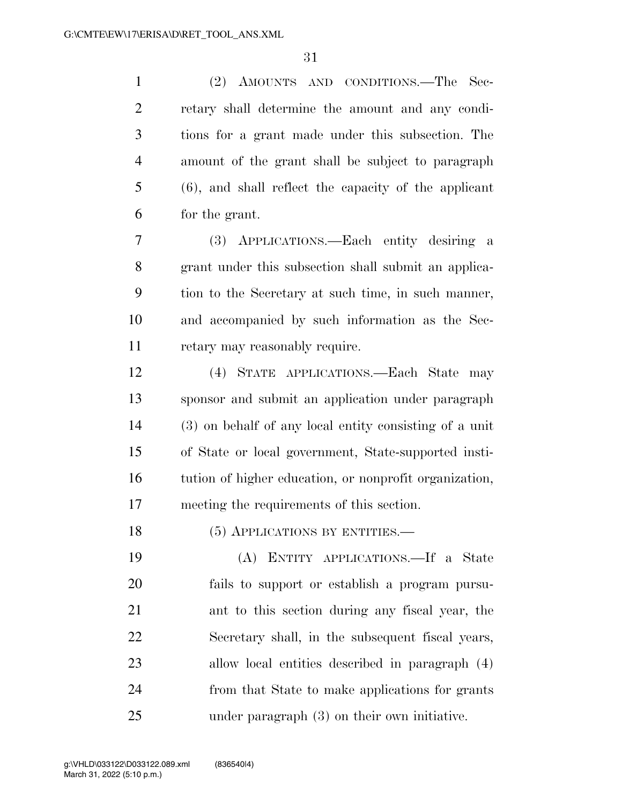(2) AMOUNTS AND CONDITIONS.—The Sec- retary shall determine the amount and any condi- tions for a grant made under this subsection. The amount of the grant shall be subject to paragraph (6), and shall reflect the capacity of the applicant for the grant.

 (3) APPLICATIONS.—Each entity desiring a grant under this subsection shall submit an applica- tion to the Secretary at such time, in such manner, and accompanied by such information as the Sec-retary may reasonably require.

 (4) STATE APPLICATIONS.—Each State may sponsor and submit an application under paragraph (3) on behalf of any local entity consisting of a unit of State or local government, State-supported insti- tution of higher education, or nonprofit organization, meeting the requirements of this section.

18 (5) APPLICATIONS BY ENTITIES.—

 (A) ENTITY APPLICATIONS.—If a State fails to support or establish a program pursu- ant to this section during any fiscal year, the Secretary shall, in the subsequent fiscal years, allow local entities described in paragraph (4) from that State to make applications for grants under paragraph (3) on their own initiative.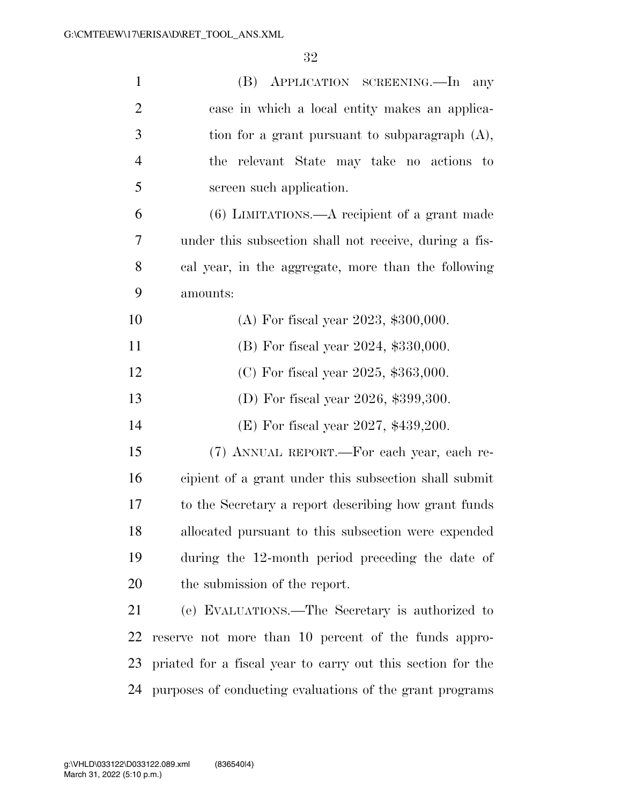| $\mathbf{1}$   | (B) APPLICATION SCREENING.—In any                           |
|----------------|-------------------------------------------------------------|
| $\overline{2}$ | case in which a local entity makes an applica-              |
| 3              | tion for a grant pursuant to subparagraph $(A)$ ,           |
| $\overline{4}$ | the relevant State may take no actions to                   |
| 5              | screen such application.                                    |
| 6              | $(6)$ LIMITATIONS.—A recipient of a grant made              |
| 7              | under this subsection shall not receive, during a fis-      |
| 8              | cal year, in the aggregate, more than the following         |
| 9              | amounts:                                                    |
| 10             | (A) For fiscal year 2023, $$300,000$ .                      |
| 11             | (B) For fiscal year 2024, \$330,000.                        |
| 12             | (C) For fiscal year 2025, $$363,000$ .                      |
| 13             | (D) For fiscal year 2026, \$399,300.                        |
| 14             | (E) For fiscal year 2027, $$439,200$ .                      |
| 15             | (7) ANNUAL REPORT.—For each year, each re-                  |
| 16             | cipient of a grant under this subsection shall submit       |
| 17             | to the Secretary a report describing how grant funds        |
| 18             | allocated pursuant to this subsection were expended         |
| 19             | during the 12-month period preceding the date of            |
| 20             | the submission of the report.                               |
| 21             | (e) EVALUATIONS.—The Secretary is authorized to             |
| 22             | reserve not more than 10 percent of the funds appro-        |
| 23             | priated for a fiscal year to carry out this section for the |
| 24             | purposes of conducting evaluations of the grant programs    |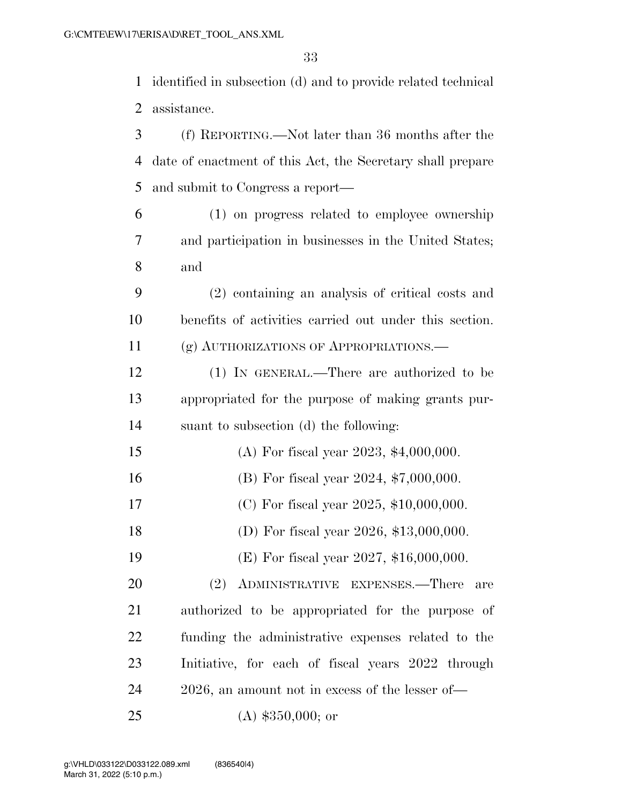identified in subsection (d) and to provide related technical assistance.

| 3              | (f) REPORTING.—Not later than 36 months after the          |
|----------------|------------------------------------------------------------|
| $\overline{4}$ | date of enactment of this Act, the Secretary shall prepare |
| 5              | and submit to Congress a report—                           |
| 6              | (1) on progress related to employee ownership              |
| 7              | and participation in businesses in the United States;      |
| 8              | and                                                        |
| 9              | (2) containing an analysis of critical costs and           |
| 10             | benefits of activities carried out under this section.     |
| 11             | (g) AUTHORIZATIONS OF APPROPRIATIONS.                      |
| 12             | (1) IN GENERAL.—There are authorized to be                 |
| 13             | appropriated for the purpose of making grants pur-         |
| 14             | suant to subsection (d) the following:                     |
| 15             | (A) For fiscal year 2023, $$4,000,000$ .                   |
| 16             | (B) For fiscal year $2024, $7,000,000$ .                   |
| 17             | (C) For fiscal year 2025, $$10,000,000$ .                  |
| 18             | (D) For fiscal year $2026$ , \$13,000,000.                 |
| 19             | (E) For fiscal year 2027, $$16,000,000$ .                  |
| 20             | (2) ADMINISTRATIVE EXPENSES.—There are                     |
| 21             | authorized to be appropriated for the purpose of           |
| 22             | funding the administrative expenses related to the         |
| 23             | Initiative, for each of fiscal years 2022 through          |
| 24             | 2026, an amount not in excess of the lesser of—            |
| 25             | $(A)$ \$350,000; or                                        |

March 31, 2022 (5:10 p.m.) g:\VHLD\033122\D033122.089.xml (836540|4)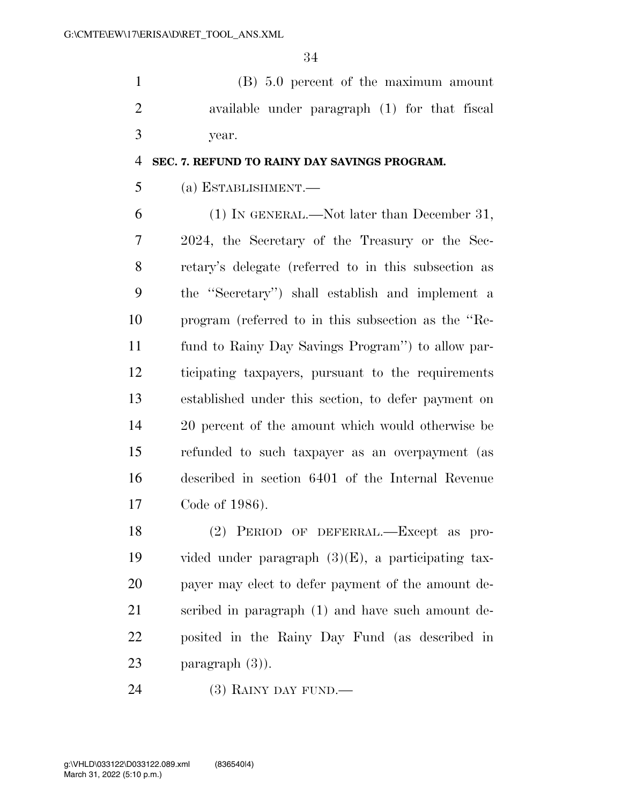(B) 5.0 percent of the maximum amount available under paragraph (1) for that fiscal year.

### **SEC. 7. REFUND TO RAINY DAY SAVINGS PROGRAM.**

## (a) ESTABLISHMENT.—

 (1) IN GENERAL.—Not later than December 31, 2024, the Secretary of the Treasury or the Sec- retary's delegate (referred to in this subsection as the ''Secretary'') shall establish and implement a program (referred to in this subsection as the ''Re- fund to Rainy Day Savings Program'') to allow par- ticipating taxpayers, pursuant to the requirements established under this section, to defer payment on 20 percent of the amount which would otherwise be refunded to such taxpayer as an overpayment (as described in section 6401 of the Internal Revenue Code of 1986).

 (2) PERIOD OF DEFERRAL.—Except as pro- vided under paragraph (3)(E), a participating tax- payer may elect to defer payment of the amount de- scribed in paragraph (1) and have such amount de- posited in the Rainy Day Fund (as described in paragraph (3)).

(3) RAINY DAY FUND.—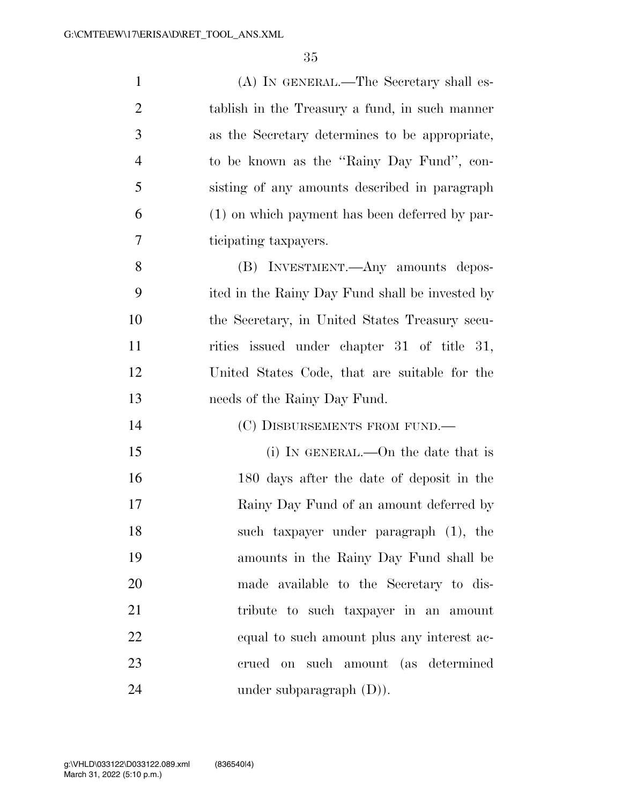| $\mathbf{1}$   | (A) IN GENERAL.—The Secretary shall es-         |
|----------------|-------------------------------------------------|
| $\overline{2}$ | tablish in the Treasury a fund, in such manner  |
| 3              | as the Secretary determines to be appropriate,  |
| $\overline{4}$ | to be known as the "Rainy Day Fund", con-       |
| 5              | sisting of any amounts described in paragraph   |
| 6              | (1) on which payment has been deferred by par-  |
| 7              | ticipating taxpayers.                           |
| 8              | (B) INVESTMENT.—Any amounts depos-              |
| 9              | ited in the Rainy Day Fund shall be invested by |
| 10             | the Secretary, in United States Treasury secu-  |
| 11             | rities issued under chapter 31 of title 31,     |
| 12             | United States Code, that are suitable for the   |
|                |                                                 |
| 13             | needs of the Rainy Day Fund.                    |
| 14             | (C) DISBURSEMENTS FROM FUND.-                   |
| 15             | (i) IN GENERAL.—On the date that is             |
| 16             | 180 days after the date of deposit in the       |
| 17             | Rainy Day Fund of an amount deferred by         |
| 18             | such taxpayer under paragraph (1), the          |
| 19             | amounts in the Rainy Day Fund shall be          |
| 20             | made available to the Secretary to dis-         |
| 21             | tribute to such taxpayer in an amount           |
| 22             | equal to such amount plus any interest ac-      |
| 23             | crued on such amount (as determined             |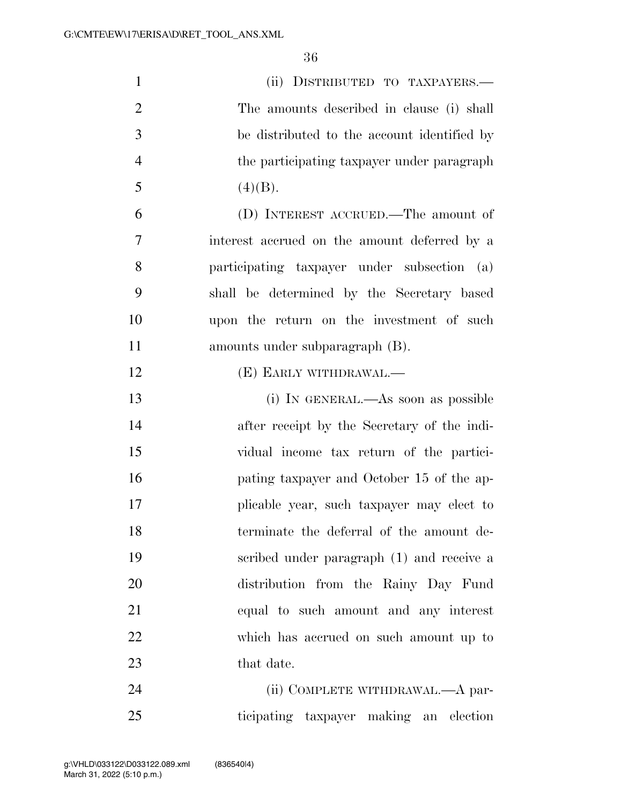| $\mathbf{1}$   | (ii) DISTRIBUTED TO TAXPAYERS.—              |
|----------------|----------------------------------------------|
| $\overline{2}$ | The amounts described in clause (i) shall    |
| 3              | be distributed to the account identified by  |
| $\overline{4}$ | the participating taxpayer under paragraph   |
| 5              | (4)(B).                                      |
| 6              | (D) INTEREST ACCRUED.—The amount of          |
| 7              | interest accrued on the amount deferred by a |
| 8              | participating taxpayer under subsection (a)  |
| 9              | shall be determined by the Secretary based   |
| 10             | upon the return on the investment of such    |
| 11             | amounts under subparagraph (B).              |
| 12             | (E) EARLY WITHDRAWAL.—                       |
| 13             | (i) IN GENERAL.—As soon as possible          |
| 14             | after receipt by the Secretary of the indi-  |
| 15             | vidual income tax return of the partici-     |
| 16             | pating taxpayer and October 15 of the ap-    |
| 17             | plicable year, such taxpayer may elect to    |
| 18             | terminate the deferral of the amount de-     |
| 19             | scribed under paragraph (1) and receive a    |
| 20             | distribution from the Rainy Day Fund         |
| 21             | equal to such amount and any interest        |
| 22             | which has accrued on such amount up to       |
| 23             | that date.                                   |
| 24             | (ii) COMPLETE WITHDRAWAL.—A par-             |

ticipating taxpayer making an election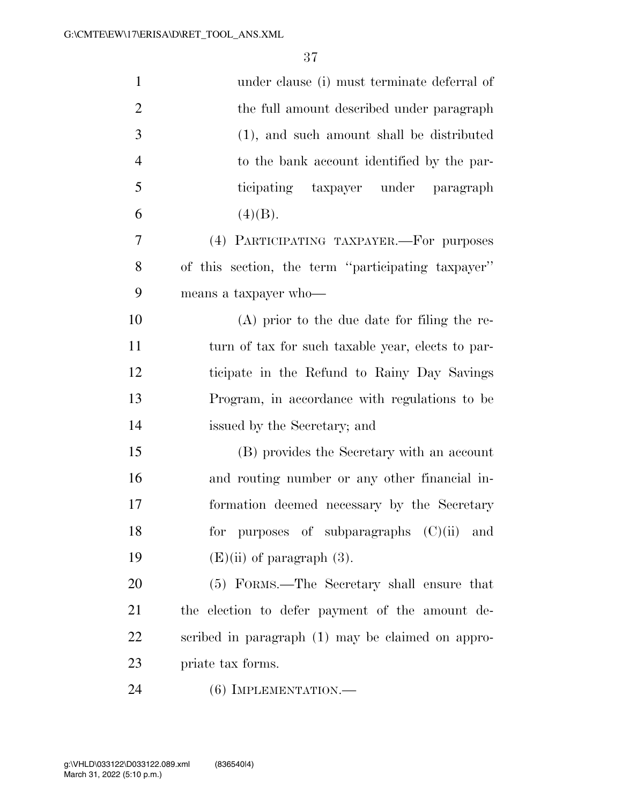| $\mathbf{1}$   | under clause (i) must terminate deferral of        |
|----------------|----------------------------------------------------|
| $\overline{2}$ | the full amount described under paragraph          |
| 3              | (1), and such amount shall be distributed          |
| $\overline{4}$ | to the bank account identified by the par-         |
| 5              | ticipating taxpayer under paragraph                |
| 6              | (4)(B).                                            |
| 7              | (4) PARTICIPATING TAXPAYER.—For purposes           |
| 8              | of this section, the term "participating taxpayer" |
| 9              | means a taxpayer who-                              |
| 10             | $(A)$ prior to the due date for filing the re-     |
| 11             | turn of tax for such taxable year, elects to par-  |
| 12             | ticipate in the Refund to Rainy Day Savings        |
| 13             | Program, in accordance with regulations to be      |
| 14             | issued by the Secretary; and                       |
| 15             | (B) provides the Secretary with an account         |
| 16             | and routing number or any other financial in-      |
| 17             | formation deemed necessary by the Secretary        |
| 18             | for purposes of subparagraphs (C)(ii) and          |
| 19             | $(E)(ii)$ of paragraph $(3)$ .                     |
| 20             | (5) FORMS.—The Secretary shall ensure that         |
| 21             | the election to defer payment of the amount de-    |
| 22             | scribed in paragraph (1) may be claimed on appro-  |
| 23             | priate tax forms.                                  |
| 24             | $(6)$ IMPLEMENTATION.—                             |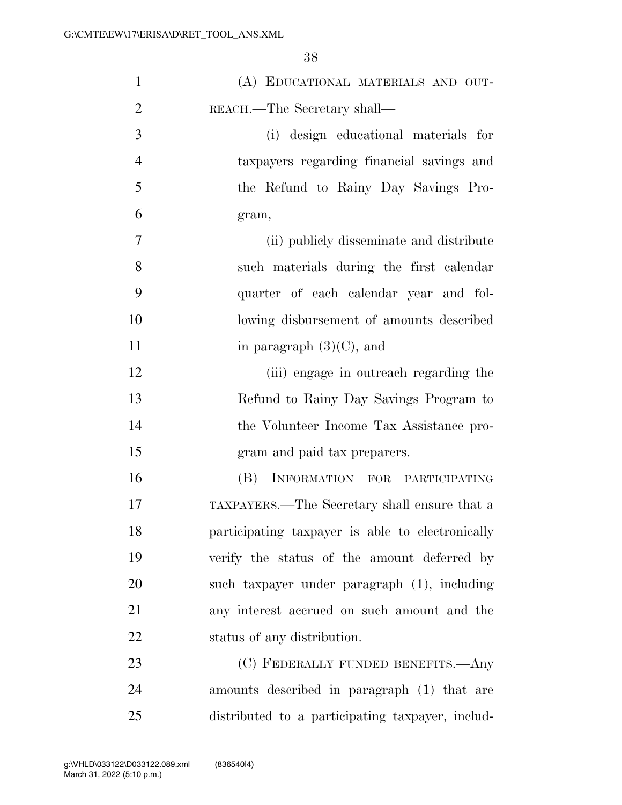| $\mathbf{1}$   | (A) EDUCATIONAL MATERIALS AND OUT-               |
|----------------|--------------------------------------------------|
| $\overline{2}$ | REACH.—The Secretary shall—                      |
| 3              | (i) design educational materials for             |
| $\overline{4}$ | taxpayers regarding financial savings and        |
| 5              | the Refund to Rainy Day Savings Pro-             |
| 6              | gram,                                            |
| 7              | (ii) publicly disseminate and distribute         |
| 8              | such materials during the first calendar         |
| 9              | quarter of each calendar year and fol-           |
| 10             | lowing disbursement of amounts described         |
| 11             | in paragraph $(3)(C)$ , and                      |
| 12             | (iii) engage in outreach regarding the           |
| 13             | Refund to Rainy Day Savings Program to           |
| 14             | the Volunteer Income Tax Assistance pro-         |
| 15             | gram and paid tax preparers.                     |
| 16             | INFORMATION FOR PARTICIPATING<br>(B)             |
| 17             | TAXPAYERS.—The Secretary shall ensure that a     |
| 18             | participating taxpayer is able to electronically |
| 19             | verify the status of the amount deferred by      |
| 20             | such taxpayer under paragraph (1), including     |
| 21             | any interest accrued on such amount and the      |
| 22             | status of any distribution.                      |
| 23             | (C) FEDERALLY FUNDED BENEFITS.—Any               |
| 24             | amounts described in paragraph (1) that are      |
| 25             | distributed to a participating taxpayer, includ- |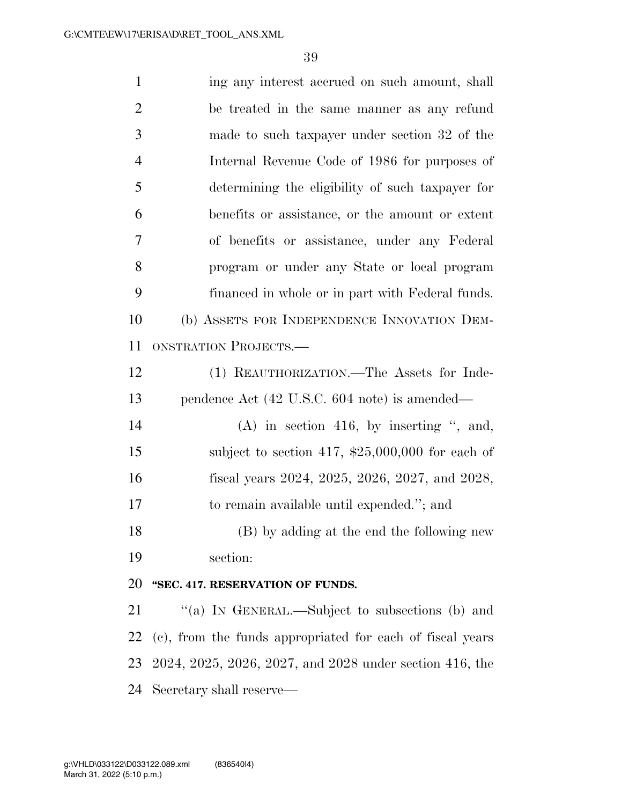1 ing any interest accrued on such amount, shall be treated in the same manner as any refund made to such taxpayer under section 32 of the Internal Revenue Code of 1986 for purposes of determining the eligibility of such taxpayer for benefits or assistance, or the amount or extent of benefits or assistance, under any Federal program or under any State or local program financed in whole or in part with Federal funds. (b) ASSETS FOR INDEPENDENCE INNOVATION DEM- ONSTRATION PROJECTS.— (1) REAUTHORIZATION.—The Assets for Inde- pendence Act (42 U.S.C. 604 note) is amended— 14 (A) in section 416, by inserting ", and, 15 subject to section 417, \$25,000,000 for each of fiscal years 2024, 2025, 2026, 2027, and 2028, to remain available until expended.''; and (B) by adding at the end the following new section: **''SEC. 417. RESERVATION OF FUNDS.**  21 "(a) IN GENERAL.—Subject to subsections (b) and (c), from the funds appropriated for each of fiscal years 2024, 2025, 2026, 2027, and 2028 under section 416, the

Secretary shall reserve—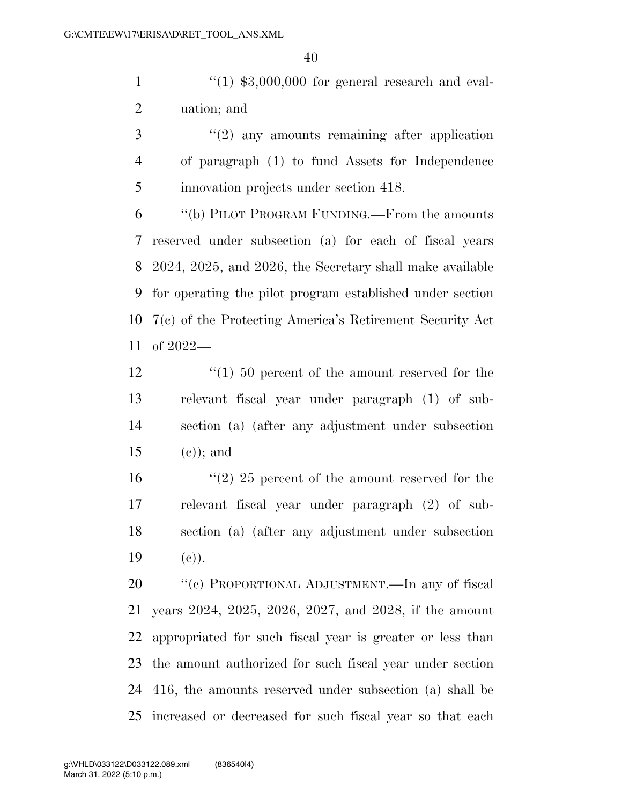$\frac{1}{1}$  ''(1) \$3,000,000 for general research and eval-uation; and

3 ''(2) any amounts remaining after application of paragraph (1) to fund Assets for Independence innovation projects under section 418.

 ''(b) PILOT PROGRAM FUNDING.—From the amounts reserved under subsection (a) for each of fiscal years 2024, 2025, and 2026, the Secretary shall make available for operating the pilot program established under section 7(c) of the Protecting America's Retirement Security Act of 2022—

12 ''(1) 50 percent of the amount reserved for the relevant fiscal year under paragraph (1) of sub- section (a) (after any adjustment under subsection 15 (e)); and

16 ''(2) 25 percent of the amount reserved for the relevant fiscal year under paragraph (2) of sub- section (a) (after any adjustment under subsection 19  $(e)$ ).

 ''(c) PROPORTIONAL ADJUSTMENT.—In any of fiscal years 2024, 2025, 2026, 2027, and 2028, if the amount appropriated for such fiscal year is greater or less than the amount authorized for such fiscal year under section 416, the amounts reserved under subsection (a) shall be increased or decreased for such fiscal year so that each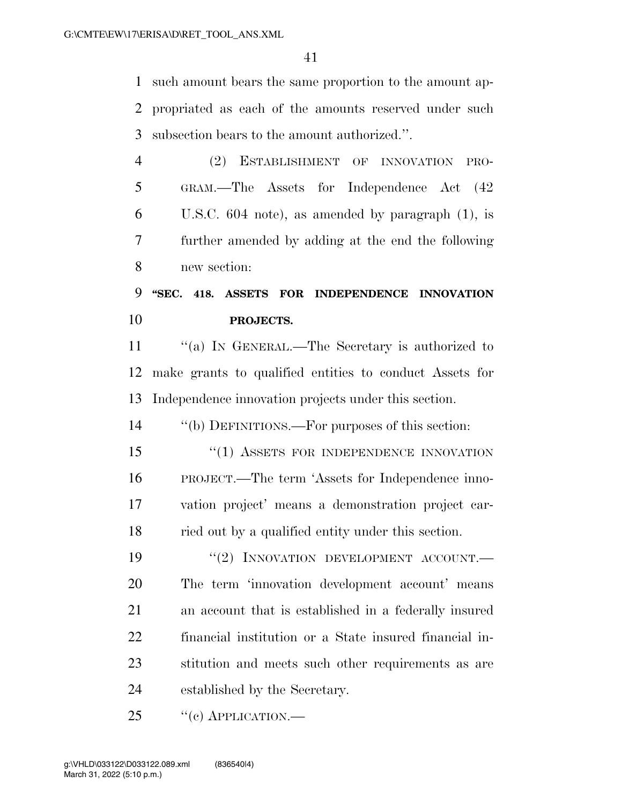such amount bears the same proportion to the amount ap- propriated as each of the amounts reserved under such subsection bears to the amount authorized.''.

 (2) ESTABLISHMENT OF INNOVATION PRO- GRAM.—The Assets for Independence Act (42 U.S.C. 604 note), as amended by paragraph (1), is further amended by adding at the end the following new section:

# **''SEC. 418. ASSETS FOR INDEPENDENCE INNOVATION PROJECTS.**

11 "(a) In GENERAL.—The Secretary is authorized to make grants to qualified entities to conduct Assets for Independence innovation projects under this section.

''(b) DEFINITIONS.—For purposes of this section:

15 "(1) ASSETS FOR INDEPENDENCE INNOVATION PROJECT.—The term 'Assets for Independence inno- vation project' means a demonstration project car-ried out by a qualified entity under this section.

19 "(2) INNOVATION DEVELOPMENT ACCOUNT. The term 'innovation development account' means an account that is established in a federally insured financial institution or a State insured financial in- stitution and meets such other requirements as are established by the Secretary.

"(c) APPLICATION.—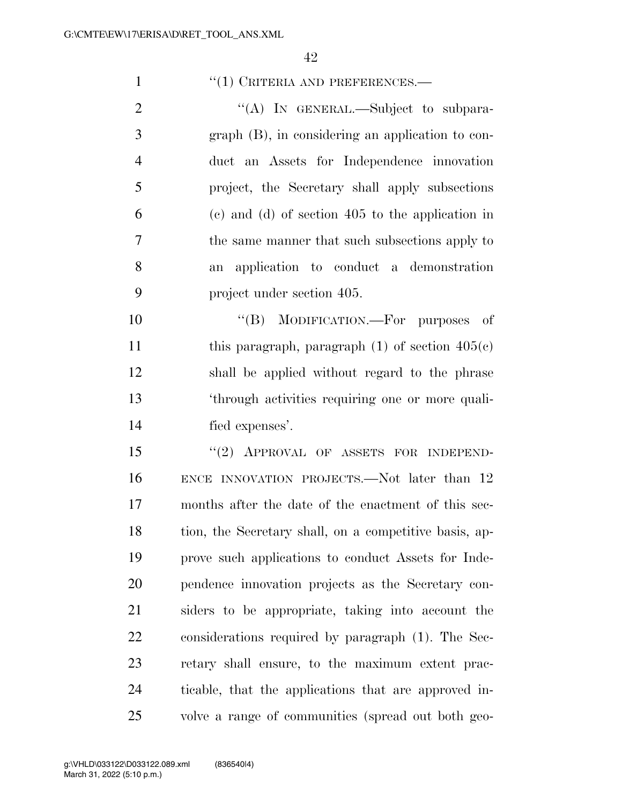### 1 <sup>''</sup>(1) CRITERIA AND PREFERENCES.—

2 "(A) IN GENERAL.—Subject to subpara- graph (B), in considering an application to con- duct an Assets for Independence innovation project, the Secretary shall apply subsections (c) and (d) of section 405 to the application in the same manner that such subsections apply to an application to conduct a demonstration project under section 405.

 $((B) \quad MODIFICATION. \quad For \quad purposes \quad of$ 11 this paragraph, paragraph  $(1)$  of section  $405(c)$  shall be applied without regard to the phrase 'through activities requiring one or more quali-fied expenses'.

15 "(2) APPROVAL OF ASSETS FOR INDEPEND- ENCE INNOVATION PROJECTS.—Not later than 12 months after the date of the enactment of this sec- tion, the Secretary shall, on a competitive basis, ap- prove such applications to conduct Assets for Inde- pendence innovation projects as the Secretary con- siders to be appropriate, taking into account the considerations required by paragraph (1). The Sec- retary shall ensure, to the maximum extent prac- ticable, that the applications that are approved in-volve a range of communities (spread out both geo-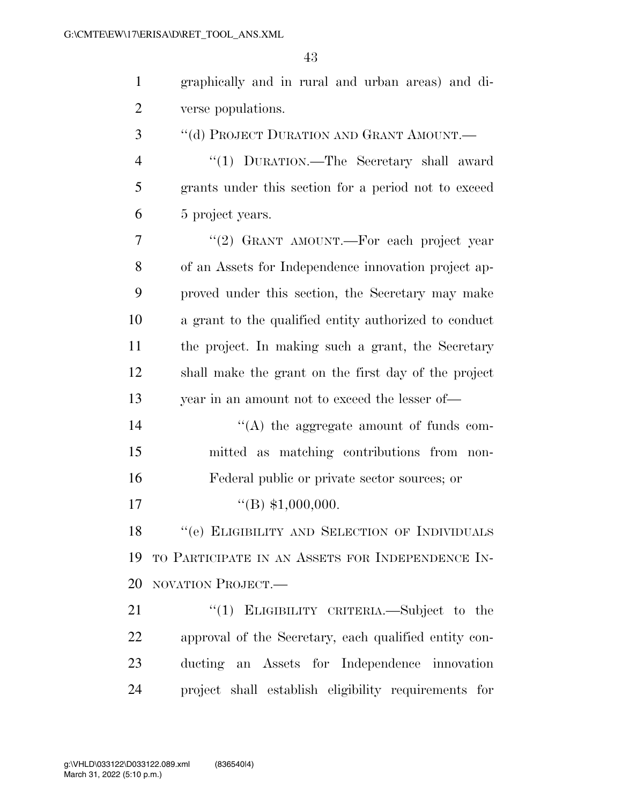| $\mathbf{1}$   | graphically and in rural and urban areas) and di-     |
|----------------|-------------------------------------------------------|
| $\overline{2}$ | verse populations.                                    |
| 3              | "(d) PROJECT DURATION AND GRANT AMOUNT.—              |
| $\overline{4}$ | "(1) DURATION.—The Secretary shall award              |
| 5              | grants under this section for a period not to exceed  |
| 6              | 5 project years.                                      |
| 7              | "(2) GRANT AMOUNT.—For each project year              |
| 8              | of an Assets for Independence innovation project ap-  |
| 9              | proved under this section, the Secretary may make     |
| 10             | a grant to the qualified entity authorized to conduct |
| 11             | the project. In making such a grant, the Secretary    |
| 12             | shall make the grant on the first day of the project  |
| 13             | year in an amount not to exceed the lesser of-        |
| 14             | "(A) the aggregate amount of funds com-               |
| 15             | mitted as matching contributions from non-            |
| 16             | Federal public or private sector sources; or          |
| 17             | $\text{``(B)}$ \$1,000,000.                           |
| 18             | "(e) ELIGIBILITY AND SELECTION OF INDIVIDUALS         |
| 19             | TO PARTICIPATE IN AN ASSETS FOR INDEPENDENCE IN-      |
| 20             | NOVATION PROJECT.                                     |
| 21             | "(1) ELIGIBILITY CRITERIA.—Subject to the             |
| 22             | approval of the Secretary, each qualified entity con- |
| 23             | ducting an Assets for Independence innovation         |
| 24             | project shall establish eligibility requirements for  |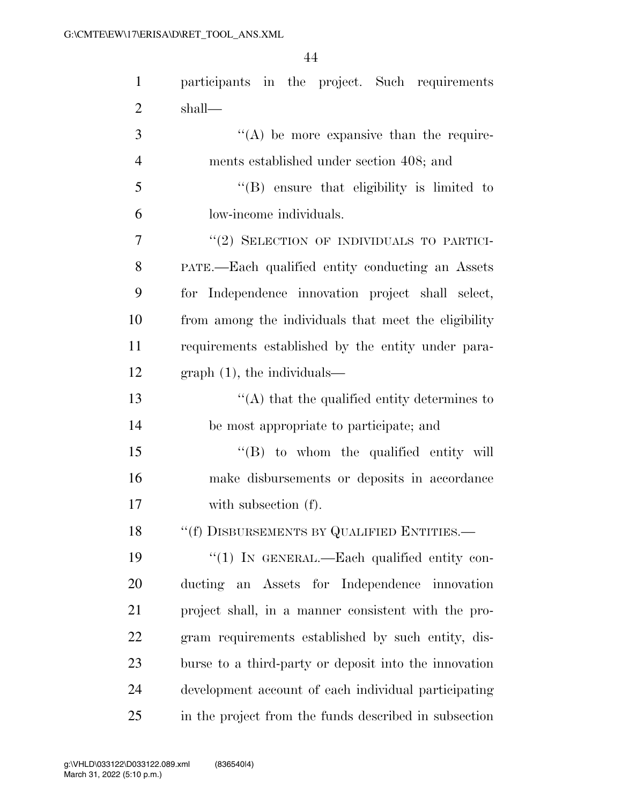| $\mathbf{1}$   | participants in the project. Such requirements         |
|----------------|--------------------------------------------------------|
| $\overline{2}$ | shall—                                                 |
| 3              | $H(A)$ be more expansive than the require-             |
| $\overline{4}$ | ments established under section 408; and               |
| 5              | "(B) ensure that eligibility is limited to             |
| 6              | low-income individuals.                                |
| 7              | "(2) SELECTION OF INDIVIDUALS TO PARTICI-              |
| 8              | PATE.—Each qualified entity conducting an Assets       |
| 9              | for Independence innovation project shall select,      |
| 10             | from among the individuals that meet the eligibility   |
| 11             | requirements established by the entity under para-     |
| 12             | $graph(1)$ , the individuals—                          |
| 13             | $\lq\lq$ that the qualified entity determines to       |
| 14             | be most appropriate to participate; and                |
| 15             | "(B) to whom the qualified entity will                 |
| 16             | make disbursements or deposits in accordance           |
| 17             | with subsection (f).                                   |
| 18             | $``(\texttt{f})$ DISBURSEMENTS BY QUALIFIED ENTITIES.— |
| 19             | "(1) IN GENERAL.—Each qualified entity con-            |
| 20             | ducting an Assets for Independence innovation          |
| 21             | project shall, in a manner consistent with the pro-    |
| 22             | gram requirements established by such entity, dis-     |
| 23             | burse to a third-party or deposit into the innovation  |
| 24             | development account of each individual participating   |
| 25             | in the project from the funds described in subsection  |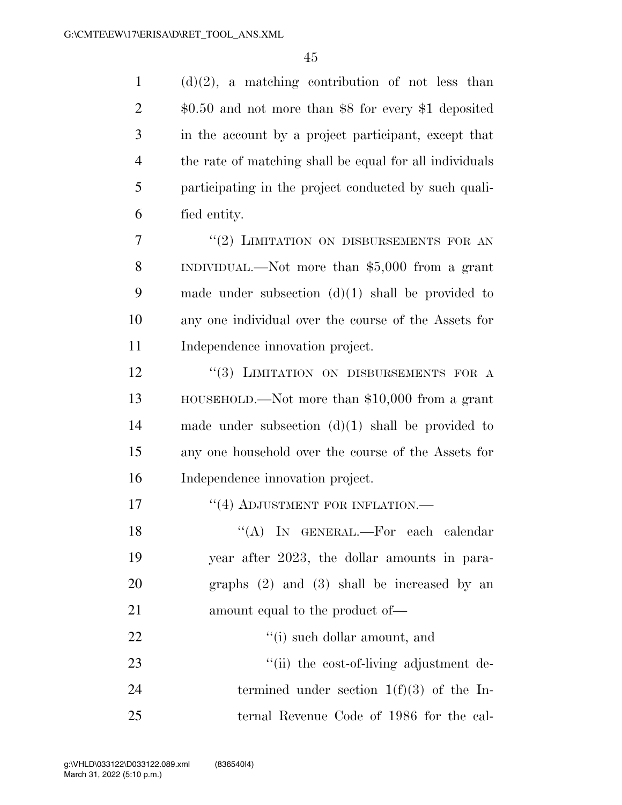(d)(2), a matching contribution of not less than \$0.50 and not more than \$8 for every \$1 deposited in the account by a project participant, except that the rate of matching shall be equal for all individuals participating in the project conducted by such quali- fied entity. 7 "(2) LIMITATION ON DISBURSEMENTS FOR AN INDIVIDUAL.—Not more than \$5,000 from a grant made under subsection (d)(1) shall be provided to any one individual over the course of the Assets for 11 Independence innovation project. 12 "(3) LIMITATION ON DISBURSEMENTS FOR A HOUSEHOLD.—Not more than \$10,000 from a grant made under subsection (d)(1) shall be provided to any one household over the course of the Assets for Independence innovation project. **''(4) ADJUSTMENT FOR INFLATION.—** 18 "(A) IN GENERAL.—For each calendar year after 2023, the dollar amounts in para-graphs (2) and (3) shall be increased by an

amount equal to the product of—

22  $\qquad$  ''(i) such dollar amount, and

23  $\frac{1}{2}$  The cost-of-living adjustment de-24 termined under section  $1(f)(3)$  of the In-ternal Revenue Code of 1986 for the cal-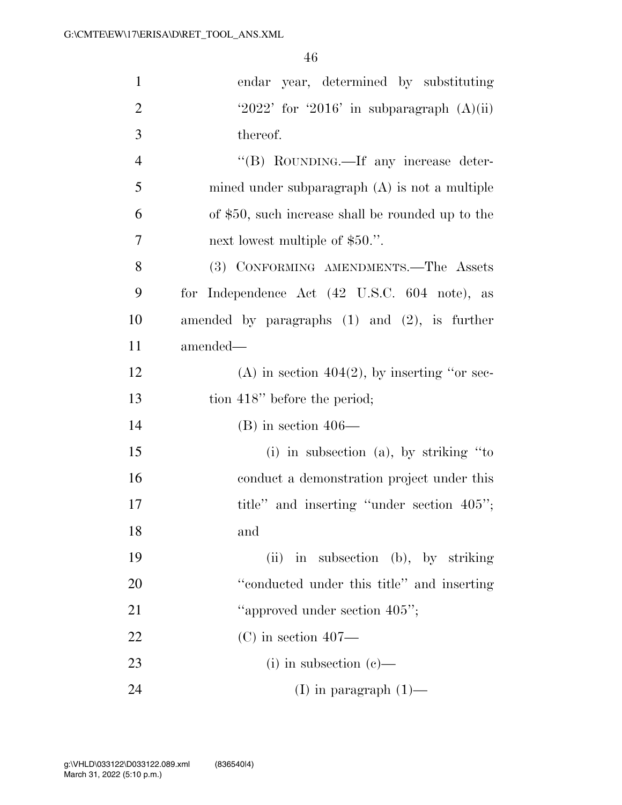| $\mathbf{1}$   | endar year, determined by substituting             |
|----------------|----------------------------------------------------|
| $\overline{2}$ | '2022' for '2016' in subparagraph $(A)(ii)$        |
| 3              | thereof.                                           |
| $\overline{4}$ | "(B) ROUNDING.—If any increase deter-              |
| 5              | mined under subparagraph $(A)$ is not a multiple   |
| 6              | of \$50, such increase shall be rounded up to the  |
| 7              | next lowest multiple of \$50.".                    |
| 8              | (3) CONFORMING AMENDMENTS.—The Assets              |
| 9              | for Independence Act (42 U.S.C. 604 note), as      |
| 10             | amended by paragraphs $(1)$ and $(2)$ , is further |
| 11             | amended-                                           |
| 12             | (A) in section $404(2)$ , by inserting "or sec-    |
| 13             | tion 418" before the period;                       |
| 14             | $(B)$ in section 406—                              |
| 15             | $(i)$ in subsection $(a)$ , by striking "to        |
| 16             | conduct a demonstration project under this         |
| 17             | title" and inserting "under section 405";          |
| 18             | and                                                |
| 19             | (ii) in subsection (b), by striking                |
| 20             | "conducted under this title" and inserting         |
| 21             | "approved under section 405";                      |
| 22             | $(C)$ in section 407—                              |
| 23             | $(i)$ in subsection $(e)$ —                        |
| 24             | (I) in paragraph $(1)$ —                           |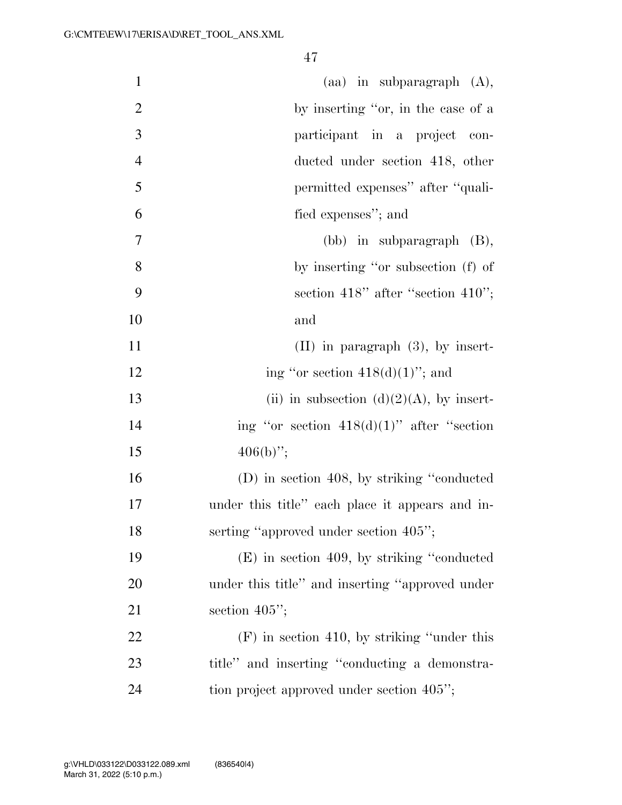| $\mathbf{1}$   | $(aa)$ in subparagraph $(A)$ ,                  |
|----------------|-------------------------------------------------|
| $\overline{2}$ | by inserting "or, in the case of a              |
| 3              | participant in a project con-                   |
| $\overline{4}$ | ducted under section 418, other                 |
| 5              | permitted expenses" after "quali-               |
| 6              | fied expenses"; and                             |
| 7              | $(bb)$ in subparagraph $(B)$ ,                  |
| 8              | by inserting "or subsection (f) of              |
| 9              | section 418" after "section 410";               |
| 10             | and                                             |
| 11             | $(II)$ in paragraph $(3)$ , by insert-          |
| 12             | ing "or section $418(d)(1)$ "; and              |
| 13             | (ii) in subsection (d)(2)(A), by insert-        |
| 14             | ing "or section $418(d)(1)$ " after "section    |
| 15             | $406(b)$ ";                                     |
| 16             | (D) in section 408, by striking "conducted      |
| 17             | under this title" each place it appears and in- |
| 18             | serting "approved under section 405";           |
| 19             | $(E)$ in section 409, by striking "conducted"   |
| 20             | under this title" and inserting "approved under |
| 21             | section $405$ ";                                |
| 22             | $(F)$ in section 410, by striking "under this   |
| 23             | title" and inserting "conducting a demonstra-   |
| 24             | tion project approved under section 405";       |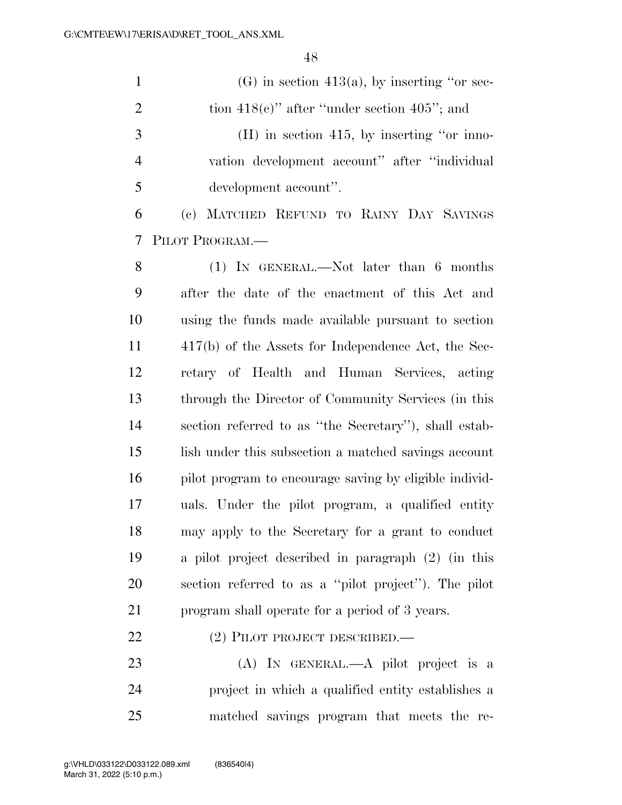|    | $(G)$ in section 413(a), by inserting "or sec-    |
|----|---------------------------------------------------|
| 2  | tion $418(e)$ " after "under section $405$ "; and |
| -3 | $(H)$ in section 415, by inserting "or inno-      |
|    | vation development account" after "individual"    |
|    | development account".                             |

 (c) MATCHED REFUND TO RAINY DAY SAVINGS PILOT PROGRAM.—

 (1) IN GENERAL.—Not later than 6 months after the date of the enactment of this Act and using the funds made available pursuant to section 417(b) of the Assets for Independence Act, the Sec- retary of Health and Human Services, acting through the Director of Community Services (in this section referred to as ''the Secretary''), shall estab- lish under this subsection a matched savings account pilot program to encourage saving by eligible individ- uals. Under the pilot program, a qualified entity may apply to the Secretary for a grant to conduct a pilot project described in paragraph (2) (in this section referred to as a ''pilot project''). The pilot program shall operate for a period of 3 years.

### 22 (2) PILOT PROJECT DESCRIBED.—

 (A) IN GENERAL.—A pilot project is a project in which a qualified entity establishes a matched savings program that meets the re-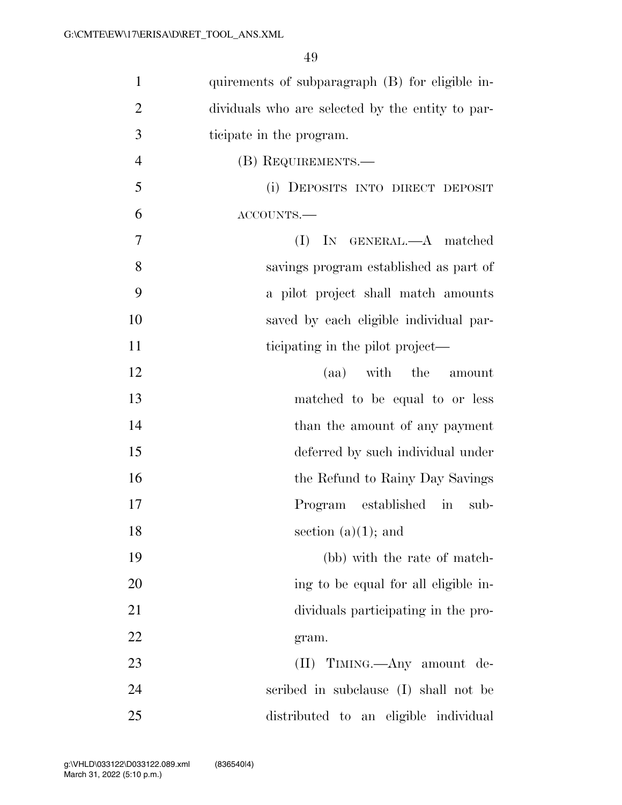| $\mathbf{1}$   | quirements of subparagraph (B) for eligible in-  |
|----------------|--------------------------------------------------|
| $\overline{2}$ | dividuals who are selected by the entity to par- |
| 3              | ticipate in the program.                         |
| $\overline{4}$ | (B) REQUIREMENTS.—                               |
| 5              | (i) DEPOSITS INTO DIRECT DEPOSIT                 |
| 6              | ACCOUNTS.-                                       |
| 7              | IN GENERAL.—A matched<br>(I)                     |
| 8              | savings program established as part of           |
| 9              | a pilot project shall match amounts              |
| 10             | saved by each eligible individual par-           |
| 11             | ticipating in the pilot project—                 |
| 12             | (aa) with the amount                             |
| 13             | matched to be equal to or less                   |
| 14             | than the amount of any payment                   |
| 15             | deferred by such individual under                |
| 16             | the Refund to Rainy Day Savings                  |
| 17             | Program established in<br>sub-                   |
| 18             | section $(a)(1)$ ; and                           |
| 19             | (bb) with the rate of match-                     |
| 20             | ing to be equal for all eligible in-             |
| 21             | dividuals participating in the pro-              |
| 22             | gram.                                            |
| 23             | (II) TIMING.—Any amount de-                      |
| 24             | scribed in subclause (I) shall not be            |
| 25             | distributed to an eligible individual            |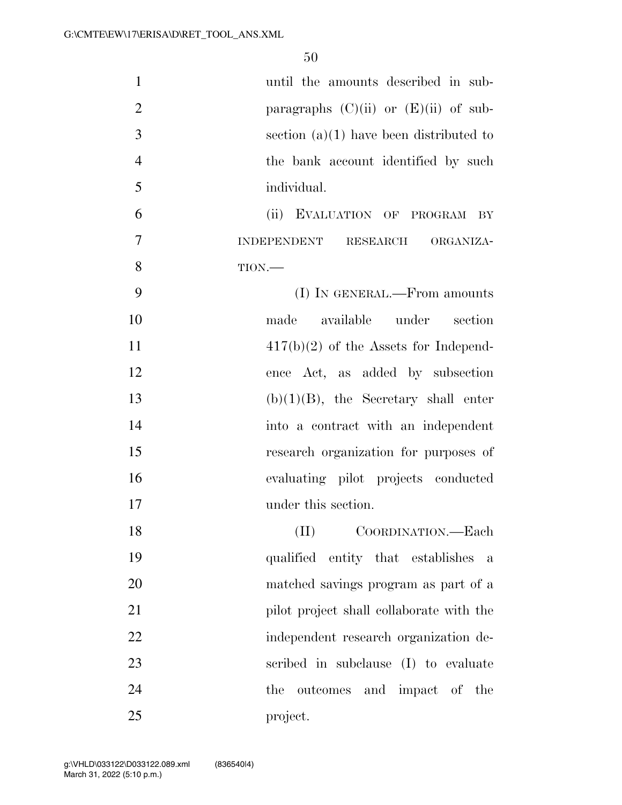| $\mathbf{1}$   | until the amounts described in sub-       |
|----------------|-------------------------------------------|
| $\overline{2}$ | paragraphs $(C)(ii)$ or $(E)(ii)$ of sub- |
| 3              | section $(a)(1)$ have been distributed to |
| $\overline{4}$ | the bank account identified by such       |
| 5              | individual.                               |
| 6              | (ii) EVALUATION OF PROGRAM<br>$\rm_{BY}$  |
| $\overline{7}$ | <b>INDEPENDENT</b><br>RESEARCH ORGANIZA-  |
| 8              | TION.                                     |
| 9              | (I) IN GENERAL.—From amounts              |
| 10             | available under section<br>made           |
| 11             | $417(b)(2)$ of the Assets for Independ-   |
| 12             | ence Act, as added by subsection          |
| 13             | $(b)(1)(B)$ , the Secretary shall enter   |
| 14             | into a contract with an independent       |
| 15             | research organization for purposes of     |
| 16             | evaluating pilot projects conducted       |
| 17             | under this section.                       |
| 18             | (II)<br>COORDINATION.—Each                |
| 19             | qualified entity that establishes<br>a    |
| 20             | matched savings program as part of a      |
| 21             | pilot project shall collaborate with the  |
| 22             | independent research organization de-     |
| 23             | scribed in subclause (I) to evaluate      |
| 24             | outcomes and impact of the<br>the         |
| 25             | project.                                  |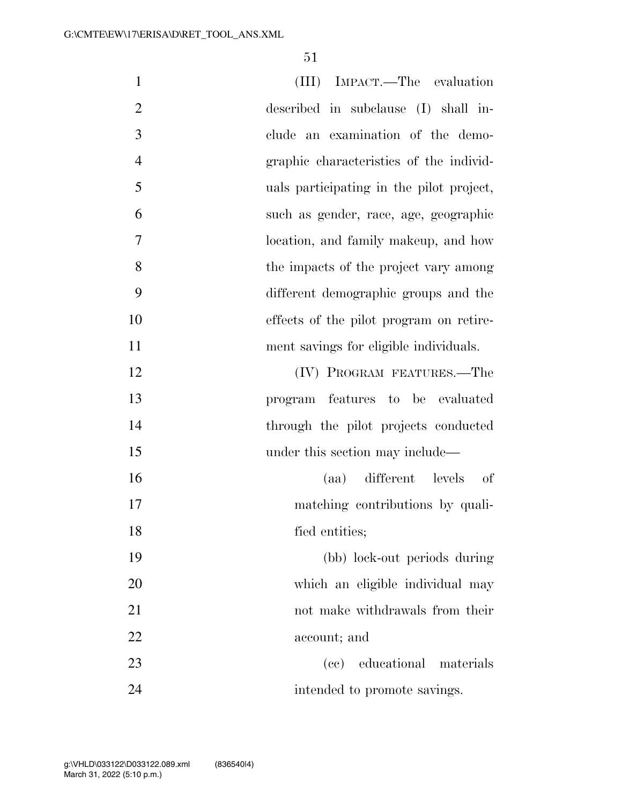| $\mathbf{1}$   | (III) IMPACT.—The evaluation             |
|----------------|------------------------------------------|
|                |                                          |
| $\overline{2}$ | described in subclause (I) shall in-     |
| 3              | clude an examination of the demo-        |
| $\overline{4}$ | graphic characteristics of the individ-  |
| 5              | uals participating in the pilot project, |
| 6              | such as gender, race, age, geographic    |
| 7              | location, and family makeup, and how     |
| 8              | the impacts of the project vary among    |
| 9              | different demographic groups and the     |
| 10             | effects of the pilot program on retire-  |
| 11             | ment savings for eligible individuals.   |
| 12             | (IV) PROGRAM FEATURES.-The               |
| 13             | program features to be evaluated         |
| 14             | through the pilot projects conducted     |
| 15             | under this section may include—          |
| 16             | (aa) different levels<br>of              |
| 17             | matching contributions by quali-         |
| 18             | fied entities;                           |
| 19             | (bb) lock-out periods during             |
| 20             | which an eligible individual may         |
| 21             | not make withdrawals from their          |
| 22             | account; and                             |
| 23             | (cc) educational materials               |
| 24             | intended to promote savings.             |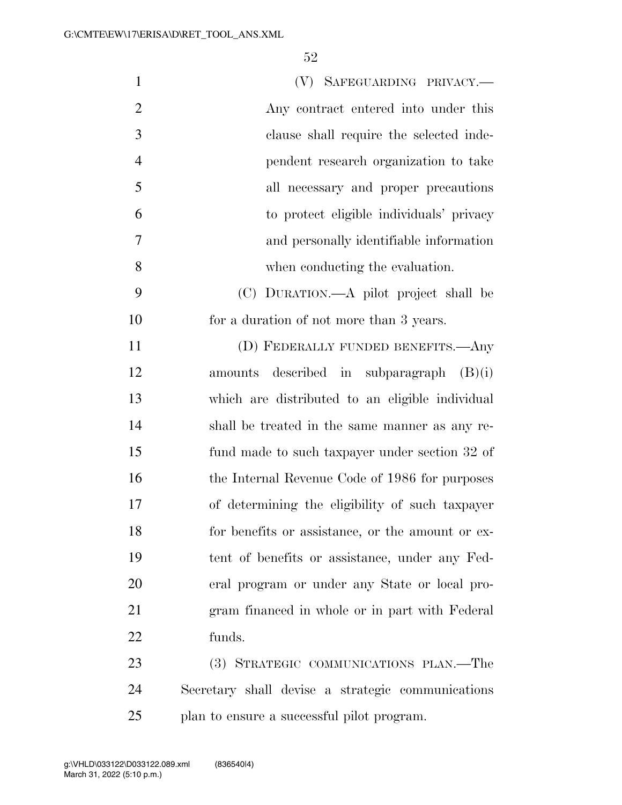| $\mathbf{1}$   | (V) SAFEGUARDING PRIVACY.—                        |
|----------------|---------------------------------------------------|
| $\overline{2}$ | Any contract entered into under this              |
| 3              | clause shall require the selected inde-           |
| $\overline{4}$ | pendent research organization to take             |
| 5              | all necessary and proper precautions              |
| 6              | to protect eligible individuals' privacy          |
| $\tau$         | and personally identifiable information           |
| 8              | when conducting the evaluation.                   |
| 9              | (C) DURATION.—A pilot project shall be            |
| 10             | for a duration of not more than 3 years.          |
| 11             | (D) FEDERALLY FUNDED BENEFITS.—Any                |
| 12             | amounts described in subparagraph $(B)(i)$        |
| 13             | which are distributed to an eligible individual   |
| 14             | shall be treated in the same manner as any re-    |
| 15             | fund made to such taxpayer under section 32 of    |
| 16             | the Internal Revenue Code of 1986 for purposes    |
| 17             | of determining the eligibility of such taxpayer   |
| 18             | for benefits or assistance, or the amount or ex-  |
| 19             | tent of benefits or assistance, under any Fed-    |
| 20             | eral program or under any State or local pro-     |
| 21             | gram financed in whole or in part with Federal    |
| 22             | funds.                                            |
| 23             | (3) STRATEGIC COMMUNICATIONS PLAN.—The            |
| 24             | Secretary shall devise a strategic communications |
|                |                                                   |

plan to ensure a successful pilot program.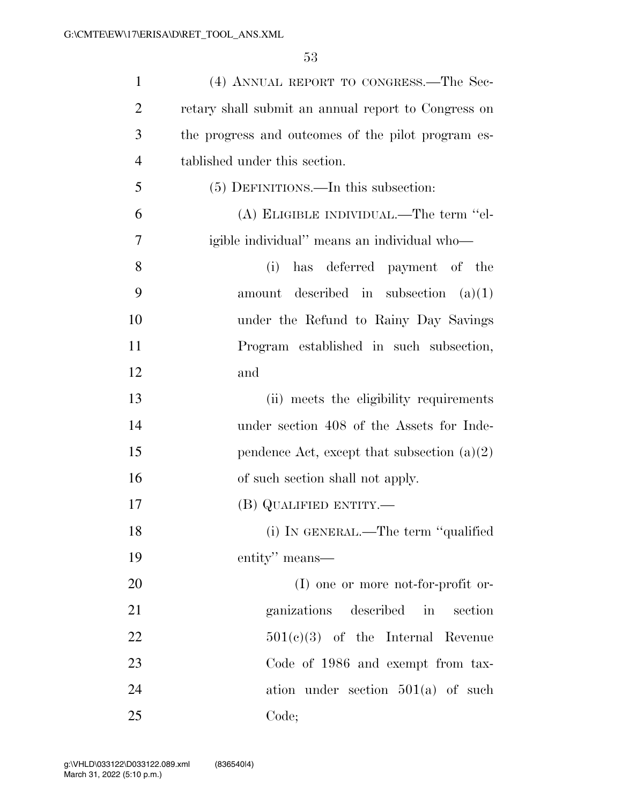| $\mathbf{1}$   | (4) ANNUAL REPORT TO CONGRESS.—The Sec-             |
|----------------|-----------------------------------------------------|
| $\overline{2}$ | retary shall submit an annual report to Congress on |
| 3              | the progress and outcomes of the pilot program es-  |
| $\overline{4}$ | tablished under this section.                       |
| 5              | (5) DEFINITIONS.—In this subsection:                |
| 6              | (A) ELIGIBLE INDIVIDUAL.—The term "el-              |
| 7              | igible individual" means an individual who-         |
| 8              | has deferred payment of the<br>(i)                  |
| 9              | amount described in subsection $(a)(1)$             |
| 10             | under the Refund to Rainy Day Savings               |
| 11             | Program established in such subsection,             |
| 12             | and                                                 |
| 13             | (ii) meets the eligibility requirements             |
| 14             | under section 408 of the Assets for Inde-           |
| 15             | pendence Act, except that subsection $(a)(2)$       |
| 16             | of such section shall not apply.                    |
| 17             | $(B)$ QUALIFIED ENTITY.—                            |
| 18             | (i) IN GENERAL.—The term "qualified                 |
| 19             | entity" means—                                      |
| 20             | $(I)$ one or more not-for-profit or-                |
| 21             | described<br>ganizations<br>in<br>section           |
| 22             | $501(e)(3)$ of the Internal Revenue                 |
| 23             | Code of 1986 and exempt from tax-                   |
| 24             | ation under section $501(a)$ of such                |
| 25             | Code;                                               |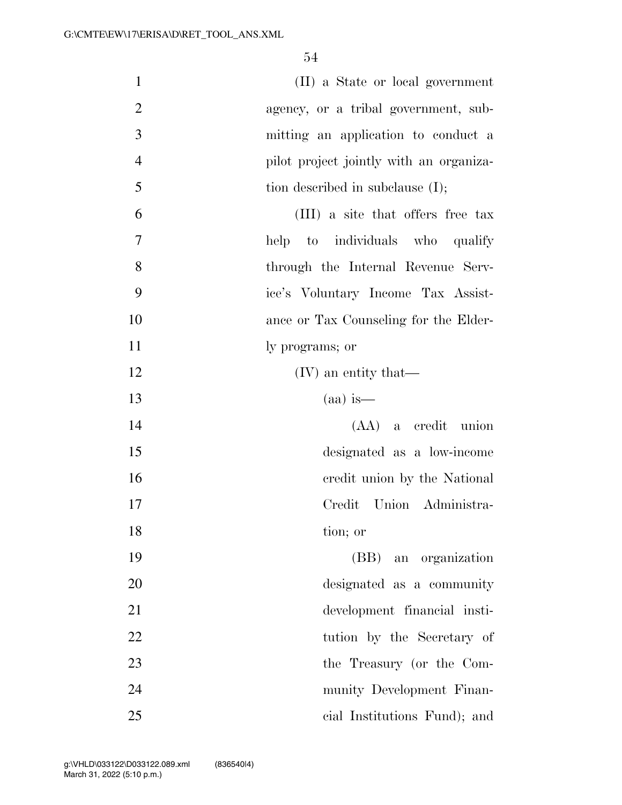| $\mathbf{1}$   | (II) a State or local government        |
|----------------|-----------------------------------------|
| $\overline{2}$ | agency, or a tribal government, sub-    |
| 3              | mitting an application to conduct a     |
| $\overline{4}$ | pilot project jointly with an organiza- |
| 5              | tion described in subclause $(I)$ ;     |
| 6              | (III) a site that offers free tax       |
| $\tau$         | help to individuals who qualify         |
| 8              | through the Internal Revenue Serv-      |
| 9              | ice's Voluntary Income Tax Assist-      |
| 10             | ance or Tax Counseling for the Elder-   |
| 11             | ly programs; or                         |
| 12             | $(IV)$ an entity that—                  |
| 13             | $(aa)$ is —                             |
| 14             | $(AA)$ a credit union                   |
| 15             | designated as a low-income              |
| 16             | credit union by the National            |
| 17             | Union Administra-<br>Credit             |
| 18             | tion; or                                |
| 19             | (BB) an organization                    |
| 20             | designated as a community               |
| 21             | development financial insti-            |
| 22             | tution by the Secretary of              |
| 23             | the Treasury (or the Com-               |
| 24             | munity Development Finan-               |
| 25             | cial Institutions Fund); and            |